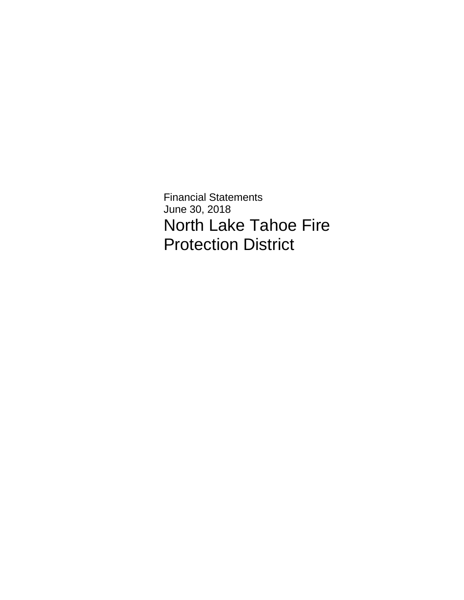Financial Statements June 30, 2018 North Lake Tahoe Fire Protection District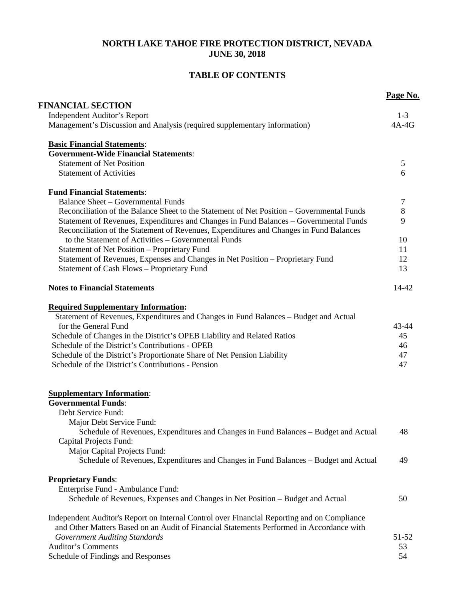## **NORTH LAKE TAHOE FIRE PROTECTION DISTRICT, NEVADA JUNE 30, 2018**

# **TABLE OF CONTENTS**

|                                                                                                                                                                                 | Page No.  |
|---------------------------------------------------------------------------------------------------------------------------------------------------------------------------------|-----------|
| <b>FINANCIAL SECTION</b>                                                                                                                                                        |           |
| <b>Independent Auditor's Report</b>                                                                                                                                             | $1-3$     |
| Management's Discussion and Analysis (required supplementary information)                                                                                                       | $4A-4G$   |
| <b>Basic Financial Statements:</b>                                                                                                                                              |           |
| <b>Government-Wide Financial Statements:</b>                                                                                                                                    |           |
| <b>Statement of Net Position</b>                                                                                                                                                | 5         |
| <b>Statement of Activities</b>                                                                                                                                                  | 6         |
| <b>Fund Financial Statements:</b>                                                                                                                                               |           |
| <b>Balance Sheet - Governmental Funds</b>                                                                                                                                       | 7         |
| Reconciliation of the Balance Sheet to the Statement of Net Position – Governmental Funds                                                                                       | $8\,$     |
| Statement of Revenues, Expenditures and Changes in Fund Balances - Governmental Funds<br>Reconciliation of the Statement of Revenues, Expenditures and Changes in Fund Balances | 9         |
| to the Statement of Activities - Governmental Funds                                                                                                                             | 10        |
| Statement of Net Position - Proprietary Fund                                                                                                                                    | 11        |
| Statement of Revenues, Expenses and Changes in Net Position - Proprietary Fund                                                                                                  | 12        |
| Statement of Cash Flows - Proprietary Fund                                                                                                                                      | 13        |
| <b>Notes to Financial Statements</b>                                                                                                                                            | $14 - 42$ |
| <b>Required Supplementary Information:</b>                                                                                                                                      |           |
| Statement of Revenues, Expenditures and Changes in Fund Balances - Budget and Actual                                                                                            |           |
| for the General Fund                                                                                                                                                            | 43-44     |
| Schedule of Changes in the District's OPEB Liability and Related Ratios                                                                                                         | 45        |
| Schedule of the District's Contributions - OPEB                                                                                                                                 | 46        |
| Schedule of the District's Proportionate Share of Net Pension Liability                                                                                                         | 47        |
| Schedule of the District's Contributions - Pension                                                                                                                              | 47        |
| <b>Supplementary Information:</b>                                                                                                                                               |           |
| <b>Governmental Funds:</b>                                                                                                                                                      |           |
| Debt Service Fund:                                                                                                                                                              |           |
| Major Debt Service Fund:                                                                                                                                                        |           |
| Schedule of Revenues, Expenditures and Changes in Fund Balances – Budget and Actual                                                                                             | 48        |
| Capital Projects Fund:                                                                                                                                                          |           |
| Major Capital Projects Fund:                                                                                                                                                    |           |
| Schedule of Revenues, Expenditures and Changes in Fund Balances – Budget and Actual                                                                                             | 49        |
| <b>Proprietary Funds:</b>                                                                                                                                                       |           |
| Enterprise Fund - Ambulance Fund:                                                                                                                                               |           |
| Schedule of Revenues, Expenses and Changes in Net Position - Budget and Actual                                                                                                  | 50        |
| Independent Auditor's Report on Internal Control over Financial Reporting and on Compliance                                                                                     |           |
| and Other Matters Based on an Audit of Financial Statements Performed in Accordance with                                                                                        |           |
| <b>Government Auditing Standards</b>                                                                                                                                            | 51-52     |
| <b>Auditor's Comments</b>                                                                                                                                                       | 53        |
| Schedule of Findings and Responses                                                                                                                                              | 54        |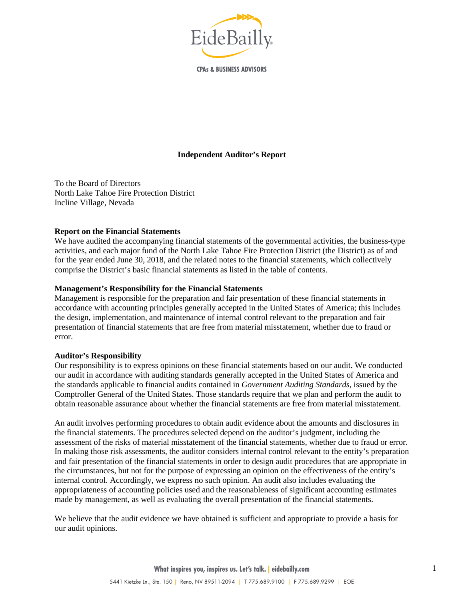

**CPAs & BUSINESS ADVISORS** 

#### **Independent Auditor's Report**

To the Board of Directors North Lake Tahoe Fire Protection District Incline Village, Nevada

#### **Report on the Financial Statements**

We have audited the accompanying financial statements of the governmental activities, the business-type activities, and each major fund of the North Lake Tahoe Fire Protection District (the District) as of and for the year ended June 30, 2018, and the related notes to the financial statements, which collectively comprise the District's basic financial statements as listed in the table of contents.

#### **Management's Responsibility for the Financial Statements**

Management is responsible for the preparation and fair presentation of these financial statements in accordance with accounting principles generally accepted in the United States of America; this includes the design, implementation, and maintenance of internal control relevant to the preparation and fair presentation of financial statements that are free from material misstatement, whether due to fraud or error.

#### **Auditor's Responsibility**

Our responsibility is to express opinions on these financial statements based on our audit. We conducted our audit in accordance with auditing standards generally accepted in the United States of America and the standards applicable to financial audits contained in *Government Auditing Standards*, issued by the Comptroller General of the United States. Those standards require that we plan and perform the audit to obtain reasonable assurance about whether the financial statements are free from material misstatement.

An audit involves performing procedures to obtain audit evidence about the amounts and disclosures in the financial statements. The procedures selected depend on the auditor's judgment, including the assessment of the risks of material misstatement of the financial statements, whether due to fraud or error. In making those risk assessments, the auditor considers internal control relevant to the entity's preparation and fair presentation of the financial statements in order to design audit procedures that are appropriate in the circumstances, but not for the purpose of expressing an opinion on the effectiveness of the entity's internal control. Accordingly, we express no such opinion. An audit also includes evaluating the appropriateness of accounting policies used and the reasonableness of significant accounting estimates made by management, as well as evaluating the overall presentation of the financial statements.

We believe that the audit evidence we have obtained is sufficient and appropriate to provide a basis for our audit opinions.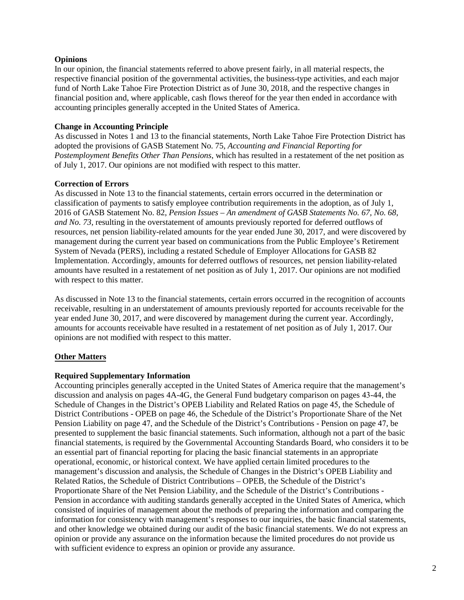#### **Opinions**

In our opinion, the financial statements referred to above present fairly, in all material respects, the respective financial position of the governmental activities, the business-type activities, and each major fund of North Lake Tahoe Fire Protection District as of June 30, 2018, and the respective changes in financial position and, where applicable, cash flows thereof for the year then ended in accordance with accounting principles generally accepted in the United States of America.

#### **Change in Accounting Principle**

As discussed in Notes 1 and 13 to the financial statements, North Lake Tahoe Fire Protection District has adopted the provisions of GASB Statement No. 75, *Accounting and Financial Reporting for Postemployment Benefits Other Than Pensions*, which has resulted in a restatement of the net position as of July 1, 2017. Our opinions are not modified with respect to this matter.

#### **Correction of Errors**

As discussed in Note 13 to the financial statements, certain errors occurred in the determination or classification of payments to satisfy employee contribution requirements in the adoption, as of July 1, 2016 of GASB Statement No. 82, *Pension Issues – An amendment of GASB Statements No. 67, No. 68, and No. 73*, resulting in the overstatement of amounts previously reported for deferred outflows of resources, net pension liability-related amounts for the year ended June 30, 2017, and were discovered by management during the current year based on communications from the Public Employee's Retirement System of Nevada (PERS), including a restated Schedule of Employer Allocations for GASB 82 Implementation. Accordingly, amounts for deferred outflows of resources, net pension liability-related amounts have resulted in a restatement of net position as of July 1, 2017. Our opinions are not modified with respect to this matter.

As discussed in Note 13 to the financial statements, certain errors occurred in the recognition of accounts receivable, resulting in an understatement of amounts previously reported for accounts receivable for the year ended June 30, 2017, and were discovered by management during the current year. Accordingly, amounts for accounts receivable have resulted in a restatement of net position as of July 1, 2017. Our opinions are not modified with respect to this matter.

### **Other Matters**

#### **Required Supplementary Information**

Accounting principles generally accepted in the United States of America require that the management's discussion and analysis on pages 4A-4G, the General Fund budgetary comparison on pages 43-44, the Schedule of Changes in the District's OPEB Liability and Related Ratios on page 45, the Schedule of District Contributions - OPEB on page 46, the Schedule of the District's Proportionate Share of the Net Pension Liability on page 47, and the Schedule of the District's Contributions - Pension on page 47, be presented to supplement the basic financial statements. Such information, although not a part of the basic financial statements, is required by the Governmental Accounting Standards Board, who considers it to be an essential part of financial reporting for placing the basic financial statements in an appropriate operational, economic, or historical context. We have applied certain limited procedures to the management's discussion and analysis, the Schedule of Changes in the District's OPEB Liability and Related Ratios, the Schedule of District Contributions – OPEB, the Schedule of the District's Proportionate Share of the Net Pension Liability, and the Schedule of the District's Contributions - Pension in accordance with auditing standards generally accepted in the United States of America, which consisted of inquiries of management about the methods of preparing the information and comparing the information for consistency with management's responses to our inquiries, the basic financial statements, and other knowledge we obtained during our audit of the basic financial statements. We do not express an opinion or provide any assurance on the information because the limited procedures do not provide us with sufficient evidence to express an opinion or provide any assurance.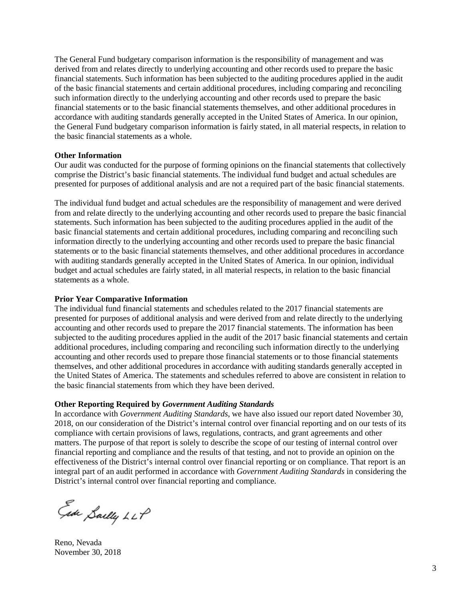The General Fund budgetary comparison information is the responsibility of management and was derived from and relates directly to underlying accounting and other records used to prepare the basic financial statements. Such information has been subjected to the auditing procedures applied in the audit of the basic financial statements and certain additional procedures, including comparing and reconciling such information directly to the underlying accounting and other records used to prepare the basic financial statements or to the basic financial statements themselves, and other additional procedures in accordance with auditing standards generally accepted in the United States of America. In our opinion, the General Fund budgetary comparison information is fairly stated, in all material respects, in relation to the basic financial statements as a whole.

#### **Other Information**

Our audit was conducted for the purpose of forming opinions on the financial statements that collectively comprise the District's basic financial statements. The individual fund budget and actual schedules are presented for purposes of additional analysis and are not a required part of the basic financial statements.

The individual fund budget and actual schedules are the responsibility of management and were derived from and relate directly to the underlying accounting and other records used to prepare the basic financial statements. Such information has been subjected to the auditing procedures applied in the audit of the basic financial statements and certain additional procedures, including comparing and reconciling such information directly to the underlying accounting and other records used to prepare the basic financial statements or to the basic financial statements themselves, and other additional procedures in accordance with auditing standards generally accepted in the United States of America. In our opinion, individual budget and actual schedules are fairly stated, in all material respects, in relation to the basic financial statements as a whole.

#### **Prior Year Comparative Information**

The individual fund financial statements and schedules related to the 2017 financial statements are presented for purposes of additional analysis and were derived from and relate directly to the underlying accounting and other records used to prepare the 2017 financial statements. The information has been subjected to the auditing procedures applied in the audit of the 2017 basic financial statements and certain additional procedures, including comparing and reconciling such information directly to the underlying accounting and other records used to prepare those financial statements or to those financial statements themselves, and other additional procedures in accordance with auditing standards generally accepted in the United States of America. The statements and schedules referred to above are consistent in relation to the basic financial statements from which they have been derived.

#### **Other Reporting Required by** *Government Auditing Standards*

In accordance with *Government Auditing Standards*, we have also issued our report dated November 30, 2018, on our consideration of the District's internal control over financial reporting and on our tests of its compliance with certain provisions of laws, regulations, contracts, and grant agreements and other matters. The purpose of that report is solely to describe the scope of our testing of internal control over financial reporting and compliance and the results of that testing, and not to provide an opinion on the effectiveness of the District's internal control over financial reporting or on compliance. That report is an integral part of an audit performed in accordance with *Government Auditing Standards* in considering the District's internal control over financial reporting and compliance.

Ede Sailly LLP

Reno, Nevada November 30, 2018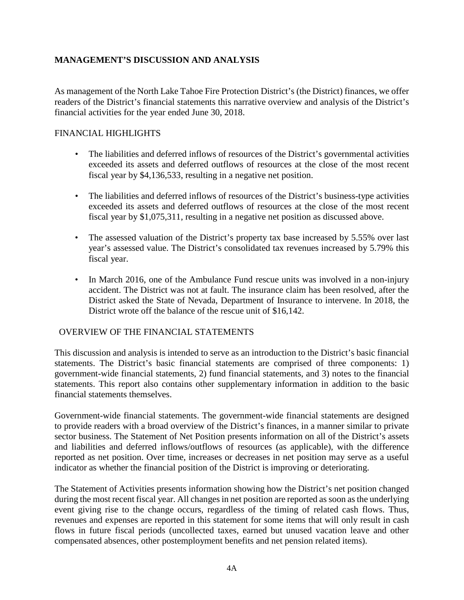# **MANAGEMENT'S DISCUSSION AND ANALYSIS**

As management of the North Lake Tahoe Fire Protection District's (the District) finances, we offer readers of the District's financial statements this narrative overview and analysis of the District's financial activities for the year ended June 30, 2018.

## FINANCIAL HIGHLIGHTS

- The liabilities and deferred inflows of resources of the District's governmental activities exceeded its assets and deferred outflows of resources at the close of the most recent fiscal year by \$4,136,533, resulting in a negative net position.
- The liabilities and deferred inflows of resources of the District's business-type activities exceeded its assets and deferred outflows of resources at the close of the most recent fiscal year by \$1,075,311, resulting in a negative net position as discussed above.
- The assessed valuation of the District's property tax base increased by 5.55% over last year's assessed value. The District's consolidated tax revenues increased by 5.79% this fiscal year.
- In March 2016, one of the Ambulance Fund rescue units was involved in a non-injury accident. The District was not at fault. The insurance claim has been resolved, after the District asked the State of Nevada, Department of Insurance to intervene. In 2018, the District wrote off the balance of the rescue unit of \$16,142.

## OVERVIEW OF THE FINANCIAL STATEMENTS

This discussion and analysis is intended to serve as an introduction to the District's basic financial statements. The District's basic financial statements are comprised of three components: 1) government-wide financial statements, 2) fund financial statements, and 3) notes to the financial statements. This report also contains other supplementary information in addition to the basic financial statements themselves.

Government-wide financial statements. The government-wide financial statements are designed to provide readers with a broad overview of the District's finances, in a manner similar to private sector business. The Statement of Net Position presents information on all of the District's assets and liabilities and deferred inflows/outflows of resources (as applicable), with the difference reported as net position. Over time, increases or decreases in net position may serve as a useful indicator as whether the financial position of the District is improving or deteriorating.

The Statement of Activities presents information showing how the District's net position changed during the most recent fiscal year. All changes in net position are reported as soon as the underlying event giving rise to the change occurs, regardless of the timing of related cash flows. Thus, revenues and expenses are reported in this statement for some items that will only result in cash flows in future fiscal periods (uncollected taxes, earned but unused vacation leave and other compensated absences, other postemployment benefits and net pension related items).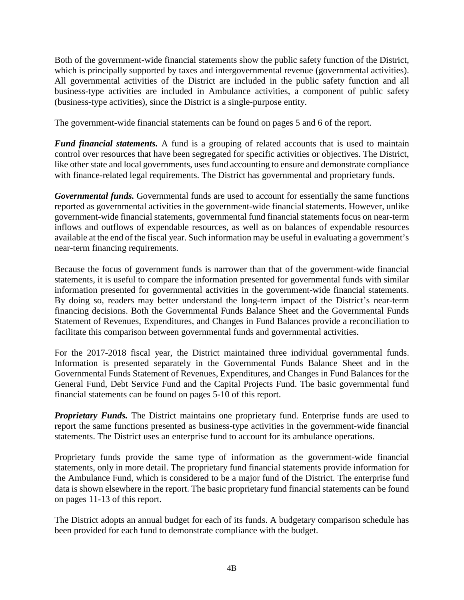Both of the government-wide financial statements show the public safety function of the District, which is principally supported by taxes and intergovernmental revenue (governmental activities). All governmental activities of the District are included in the public safety function and all business-type activities are included in Ambulance activities, a component of public safety (business-type activities), since the District is a single-purpose entity.

The government-wide financial statements can be found on pages 5 and 6 of the report.

*Fund financial statements.* A fund is a grouping of related accounts that is used to maintain control over resources that have been segregated for specific activities or objectives. The District, like other state and local governments, uses fund accounting to ensure and demonstrate compliance with finance-related legal requirements. The District has governmental and proprietary funds.

*Governmental funds.* Governmental funds are used to account for essentially the same functions reported as governmental activities in the government-wide financial statements. However, unlike government-wide financial statements, governmental fund financial statements focus on near-term inflows and outflows of expendable resources, as well as on balances of expendable resources available at the end of the fiscal year. Such information may be useful in evaluating a government's near-term financing requirements.

Because the focus of government funds is narrower than that of the government-wide financial statements, it is useful to compare the information presented for governmental funds with similar information presented for governmental activities in the government-wide financial statements. By doing so, readers may better understand the long-term impact of the District's near-term financing decisions. Both the Governmental Funds Balance Sheet and the Governmental Funds Statement of Revenues, Expenditures, and Changes in Fund Balances provide a reconciliation to facilitate this comparison between governmental funds and governmental activities.

For the 2017-2018 fiscal year, the District maintained three individual governmental funds. Information is presented separately in the Governmental Funds Balance Sheet and in the Governmental Funds Statement of Revenues, Expenditures, and Changes in Fund Balances for the General Fund, Debt Service Fund and the Capital Projects Fund. The basic governmental fund financial statements can be found on pages 5-10 of this report.

*Proprietary Funds.* The District maintains one proprietary fund. Enterprise funds are used to report the same functions presented as business-type activities in the government-wide financial statements. The District uses an enterprise fund to account for its ambulance operations.

Proprietary funds provide the same type of information as the government-wide financial statements, only in more detail. The proprietary fund financial statements provide information for the Ambulance Fund, which is considered to be a major fund of the District. The enterprise fund data is shown elsewhere in the report. The basic proprietary fund financial statements can be found on pages 11-13 of this report.

The District adopts an annual budget for each of its funds. A budgetary comparison schedule has been provided for each fund to demonstrate compliance with the budget.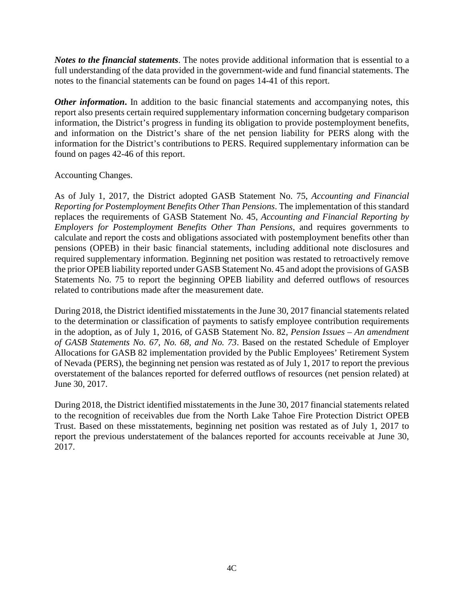*Notes to the financial statements*. The notes provide additional information that is essential to a full understanding of the data provided in the government-wide and fund financial statements. The notes to the financial statements can be found on pages 14-41 of this report.

*Other information*. In addition to the basic financial statements and accompanying notes, this report also presents certain required supplementary information concerning budgetary comparison information, the District's progress in funding its obligation to provide postemployment benefits, and information on the District's share of the net pension liability for PERS along with the information for the District's contributions to PERS. Required supplementary information can be found on pages 42-46 of this report.

## Accounting Changes.

As of July 1, 2017, the District adopted GASB Statement No. 75, *Accounting and Financial Reporting for Postemployment Benefits Other Than Pensions*. The implementation of this standard replaces the requirements of GASB Statement No. 45, *Accounting and Financial Reporting by Employers for Postemployment Benefits Other Than Pensions*, and requires governments to calculate and report the costs and obligations associated with postemployment benefits other than pensions (OPEB) in their basic financial statements, including additional note disclosures and required supplementary information. Beginning net position was restated to retroactively remove the prior OPEB liability reported under GASB Statement No. 45 and adopt the provisions of GASB Statements No. 75 to report the beginning OPEB liability and deferred outflows of resources related to contributions made after the measurement date.

During 2018, the District identified misstatements in the June 30, 2017 financial statements related to the determination or classification of payments to satisfy employee contribution requirements in the adoption, as of July 1, 2016, of GASB Statement No. 82, *Pension Issues – An amendment of GASB Statements No. 67, No. 68, and No. 73*. Based on the restated Schedule of Employer Allocations for GASB 82 implementation provided by the Public Employees' Retirement System of Nevada (PERS), the beginning net pension was restated as of July 1, 2017 to report the previous overstatement of the balances reported for deferred outflows of resources (net pension related) at June 30, 2017.

During 2018, the District identified misstatements in the June 30, 2017 financial statements related to the recognition of receivables due from the North Lake Tahoe Fire Protection District OPEB Trust. Based on these misstatements, beginning net position was restated as of July 1, 2017 to report the previous understatement of the balances reported for accounts receivable at June 30, 2017.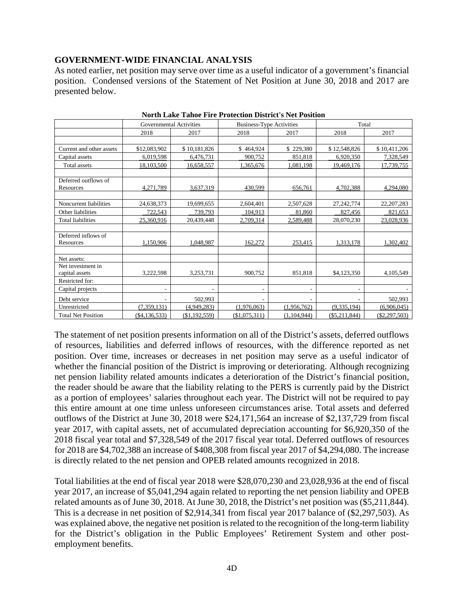## **GOVERNMENT-WIDE FINANCIAL ANALYSIS**

As noted earlier, net position may serve over time as a useful indicator of a government's financial position. Condensed versions of the Statement of Net Position at June 30, 2018 and 2017 are presented below.

|                           |                | Total<br><b>Governmental Activities</b><br><b>Business-Type Activities</b> |                          |                          |                          |                 |
|---------------------------|----------------|----------------------------------------------------------------------------|--------------------------|--------------------------|--------------------------|-----------------|
|                           | 2018           | 2017                                                                       | 2018                     | 2017                     | 2018                     | 2017            |
|                           |                |                                                                            |                          |                          |                          |                 |
| Current and other assets  | \$12,083,902   | \$10,181,826                                                               | \$464,924                | \$229,380                | \$12,548,826             | \$10,411,206    |
| Capital assets            | 6,019,598      | 6,476,731                                                                  | 900,752                  | 851,818                  | 6,920,350                | 7,328,549       |
| Total assets              | 18,103,500     | 16,658,557                                                                 | 1,365,676                | 1,081,198                | 19,469,176               | 17,739,755      |
|                           |                |                                                                            |                          |                          |                          |                 |
| Deferred outflows of      |                |                                                                            |                          |                          |                          |                 |
| Resources                 | 4,271,789      | 3,637,319                                                                  | 430,599                  | 656,761                  | 4.702.388                | 4,294,080       |
|                           |                |                                                                            |                          |                          |                          |                 |
| Noncurrent liabilities    | 24,638,373     | 19,699,655                                                                 | 2,604,401                | 2,507,628                | 27, 242, 774             | 22, 207, 283    |
| Other liabilities         | 722,543        | 739,793                                                                    | 104,913                  | 81,860                   | 827,456                  | 821,653         |
| <b>Total liabilities</b>  | 25,360,916     | 20,439,448                                                                 | 2,709,314                | 2,589,488                | 28,070,230               | 23,028,936      |
|                           |                |                                                                            |                          |                          |                          |                 |
| Deferred inflows of       |                |                                                                            |                          |                          |                          |                 |
| Resources                 | 1,150,906      | 1,048,987                                                                  | 162,272                  | 253,415                  | 1,313,178                | 1,302,402       |
|                           |                |                                                                            |                          |                          |                          |                 |
| Net assets:               |                |                                                                            |                          |                          |                          |                 |
| Net investment in         |                |                                                                            |                          |                          |                          |                 |
| capital assets            | 3,222,598      | 3,253,731                                                                  | 900,752                  | 851,818                  | \$4,123,350              | 4,105,549       |
| Restricted for:           |                |                                                                            |                          |                          |                          |                 |
| Capital projects          | ٠.             | $\overline{\phantom{a}}$                                                   | $\overline{\phantom{a}}$ | $\overline{\phantom{a}}$ | $\overline{\phantom{a}}$ | $\sim$          |
| Debt service              |                | 502,993                                                                    |                          |                          |                          | 502,993         |
| Unrestricted              | (7, 359, 131)  | (4,949,283)                                                                | (1,976,063)              | (1,956,762)              | (9, 335, 194)            | (6,906,045)     |
| <b>Total Net Position</b> | ( \$4,136,533) | (\$1,192,559)                                                              | (\$1,075,311)            | (1,104,944)              | $(\$5,211,844)$          | $(\$2,297,503)$ |

**North Lake Tahoe Fire Protection District's Net Position**

The statement of net position presents information on all of the District's assets, deferred outflows of resources, liabilities and deferred inflows of resources, with the difference reported as net position. Over time, increases or decreases in net position may serve as a useful indicator of whether the financial position of the District is improving or deteriorating. Although recognizing net pension liability related amounts indicates a deterioration of the District's financial position, the reader should be aware that the liability relating to the PERS is currently paid by the District as a portion of employees' salaries throughout each year. The District will not be required to pay this entire amount at one time unless unforeseen circumstances arise. Total assets and deferred outflows of the District at June 30, 2018 were \$24,171,564 an increase of \$2,137,729 from fiscal year 2017, with capital assets, net of accumulated depreciation accounting for \$6,920,350 of the 2018 fiscal year total and \$7,328,549 of the 2017 fiscal year total. Deferred outflows of resources for 2018 are \$4,702,388 an increase of \$408,308 from fiscal year 2017 of \$4,294,080. The increase is directly related to the net pension and OPEB related amounts recognized in 2018.

Total liabilities at the end of fiscal year 2018 were \$28,070,230 and 23,028,936 at the end of fiscal year 2017, an increase of \$5,041,294 again related to reporting the net pension liability and OPEB related amounts as of June 30, 2018. At June 30, 2018, the District's net position was (\$5,211,844). This is a decrease in net position of \$2,914,341 from fiscal year 2017 balance of (\$2,297,503). As was explained above, the negative net position is related to the recognition of the long-term liability for the District's obligation in the Public Employees' Retirement System and other postemployment benefits.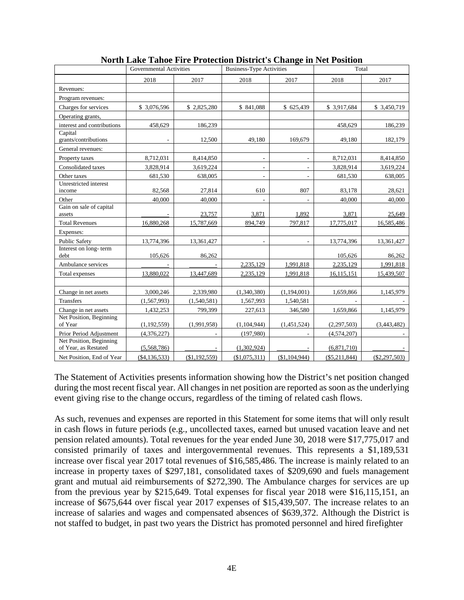|                                                 | Governmental Activities |               | <b>Business-Type Activities</b> |                          | Total         |                 |  |
|-------------------------------------------------|-------------------------|---------------|---------------------------------|--------------------------|---------------|-----------------|--|
|                                                 | 2018                    | 2017          | 2018                            | 2017                     | 2018          | 2017            |  |
| Revenues:                                       |                         |               |                                 |                          |               |                 |  |
| Program revenues:                               |                         |               |                                 |                          |               |                 |  |
| Charges for services                            | \$3,076,596             | \$2,825,280   | \$841,088                       | \$625,439                | \$3,917,684   | \$ 3,450,719    |  |
| Operating grants,                               |                         |               |                                 |                          |               |                 |  |
| interest and contributions                      | 458,629                 | 186,239       |                                 |                          | 458,629       | 186,239         |  |
| Capital<br>grants/contributions                 |                         | 12,500        | 49,180                          | 169,679                  | 49,180        | 182,179         |  |
| General revenues:                               |                         |               |                                 |                          |               |                 |  |
| Property taxes                                  | 8,712,031               | 8,414,850     | $\overline{\phantom{a}}$        | $\overline{\phantom{a}}$ | 8,712,031     | 8,414,850       |  |
| Consolidated taxes                              | 3,828,914               | 3,619,224     | $\overline{\phantom{a}}$        | $\overline{\phantom{a}}$ | 3,828,914     | 3,619,224       |  |
| Other taxes                                     | 681,530                 | 638,005       | ÷                               |                          | 681,530       | 638,005         |  |
| Unrestricted interest<br>income                 | 82,568                  | 27,814        | 610                             | 807                      | 83,178        | 28,621          |  |
| Other                                           | 40,000                  | 40,000        | ٠                               |                          | 40,000        | 40,000          |  |
| Gain on sale of capital<br>assets               |                         | 23,757        | 3,871                           | 1,892                    | 3,871         | 25,649          |  |
| <b>Total Revenues</b>                           | 16,880,268              | 15,787,669    | 894,749                         | 797,817                  | 17,775,017    | 16,585,486      |  |
| Expenses:                                       |                         |               |                                 |                          |               |                 |  |
| <b>Public Safety</b>                            | 13,774,396              | 13,361,427    | $\overline{\phantom{a}}$        | $\overline{\phantom{a}}$ | 13,774,396    | 13,361,427      |  |
| Interest on long-term<br>debt                   | 105,626                 | 86,262        |                                 |                          | 105,626       | 86,262          |  |
| Ambulance services                              |                         |               | 2,235,129                       | 1,991,818                | 2,235,129     | 1,991,818       |  |
| Total expenses                                  | 13,880,022              | 13,447,689    | 2,235,129                       | 1,991,818                | 16,115,151    | 15,439,507      |  |
|                                                 |                         |               |                                 |                          |               |                 |  |
| Change in net assets                            | 3,000,246               | 2,339,980     | (1,340,380)                     | (1,194,001)              | 1,659,866     | 1,145,979       |  |
| <b>Transfers</b>                                | (1, 567, 993)           | (1,540,581)   | 1,567,993                       | 1,540,581                |               |                 |  |
| Change in net assets                            | 1,432,253               | 799,399       | 227,613                         | 346,580                  | 1,659,866     | 1,145,979       |  |
| Net Position, Beginning<br>of Year              | (1, 192, 559)           | (1,991,958)   | (1,104,944)                     | (1,451,524)              | (2,297,503)   | (3,443,482)     |  |
| Prior Period Adjustment                         | (4,376,227)             |               | (197,980)                       |                          | (4,574,207)   |                 |  |
| Net Position, Beginning<br>of Year, as Restated | (5,568,786)             |               | (1,302,924)                     |                          | (6,871,710)   |                 |  |
| Net Position, End of Year                       | ( \$4,136,533)          | (\$1,192,559) | (\$1,075,311)                   | (\$1,104,944)            | (\$5,211,844) | $(\$2,297,503)$ |  |

**North Lake Tahoe Fire Protection District's Change in Net Position**

The Statement of Activities presents information showing how the District's net position changed during the most recent fiscal year. All changes in net position are reported as soon as the underlying event giving rise to the change occurs, regardless of the timing of related cash flows.

As such, revenues and expenses are reported in this Statement for some items that will only result in cash flows in future periods (e.g., uncollected taxes, earned but unused vacation leave and net pension related amounts). Total revenues for the year ended June 30, 2018 were \$17,775,017 and consisted primarily of taxes and intergovernmental revenues. This represents a \$1,189,531 increase over fiscal year 2017 total revenues of \$16,585,486. The increase is mainly related to an increase in property taxes of \$297,181, consolidated taxes of \$209,690 and fuels management grant and mutual aid reimbursements of \$272,390. The Ambulance charges for services are up from the previous year by \$215,649. Total expenses for fiscal year 2018 were \$16,115,151, an increase of \$675,644 over fiscal year 2017 expenses of \$15,439,507. The increase relates to an increase of salaries and wages and compensated absences of \$639,372. Although the District is not staffed to budget, in past two years the District has promoted personnel and hired firefighter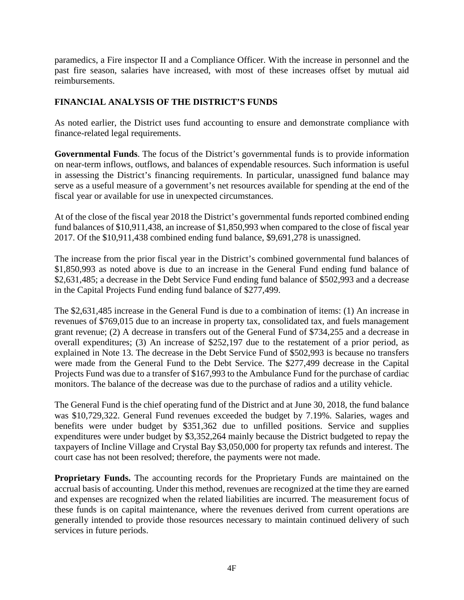paramedics, a Fire inspector II and a Compliance Officer. With the increase in personnel and the past fire season, salaries have increased, with most of these increases offset by mutual aid reimbursements.

# **FINANCIAL ANALYSIS OF THE DISTRICT'S FUNDS**

As noted earlier, the District uses fund accounting to ensure and demonstrate compliance with finance-related legal requirements.

**Governmental Funds**. The focus of the District's governmental funds is to provide information on near-term inflows, outflows, and balances of expendable resources. Such information is useful in assessing the District's financing requirements. In particular, unassigned fund balance may serve as a useful measure of a government's net resources available for spending at the end of the fiscal year or available for use in unexpected circumstances.

At of the close of the fiscal year 2018 the District's governmental funds reported combined ending fund balances of \$10,911,438, an increase of \$1,850,993 when compared to the close of fiscal year 2017. Of the \$10,911,438 combined ending fund balance, \$9,691,278 is unassigned.

The increase from the prior fiscal year in the District's combined governmental fund balances of \$1,850,993 as noted above is due to an increase in the General Fund ending fund balance of \$2,631,485; a decrease in the Debt Service Fund ending fund balance of \$502,993 and a decrease in the Capital Projects Fund ending fund balance of \$277,499.

The \$2,631,485 increase in the General Fund is due to a combination of items: (1) An increase in revenues of \$769,015 due to an increase in property tax, consolidated tax, and fuels management grant revenue; (2) A decrease in transfers out of the General Fund of \$734,255 and a decrease in overall expenditures; (3) An increase of \$252,197 due to the restatement of a prior period, as explained in Note 13. The decrease in the Debt Service Fund of \$502,993 is because no transfers were made from the General Fund to the Debt Service. The \$277,499 decrease in the Capital Projects Fund was due to a transfer of \$167,993 to the Ambulance Fund for the purchase of cardiac monitors. The balance of the decrease was due to the purchase of radios and a utility vehicle.

The General Fund is the chief operating fund of the District and at June 30, 2018, the fund balance was \$10,729,322. General Fund revenues exceeded the budget by 7.19%. Salaries, wages and benefits were under budget by \$351,362 due to unfilled positions. Service and supplies expenditures were under budget by \$3,352,264 mainly because the District budgeted to repay the taxpayers of Incline Village and Crystal Bay \$3,050,000 for property tax refunds and interest. The court case has not been resolved; therefore, the payments were not made.

**Proprietary Funds.** The accounting records for the Proprietary Funds are maintained on the accrual basis of accounting. Under this method, revenues are recognized at the time they are earned and expenses are recognized when the related liabilities are incurred. The measurement focus of these funds is on capital maintenance, where the revenues derived from current operations are generally intended to provide those resources necessary to maintain continued delivery of such services in future periods.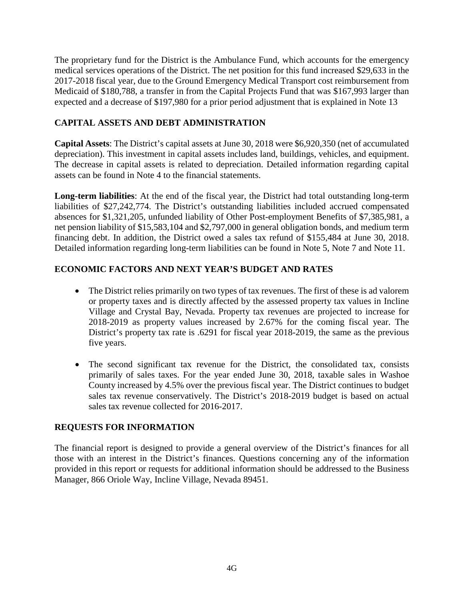The proprietary fund for the District is the Ambulance Fund, which accounts for the emergency medical services operations of the District. The net position for this fund increased \$29,633 in the 2017-2018 fiscal year, due to the Ground Emergency Medical Transport cost reimbursement from Medicaid of \$180,788, a transfer in from the Capital Projects Fund that was \$167,993 larger than expected and a decrease of \$197,980 for a prior period adjustment that is explained in Note 13

# **CAPITAL ASSETS AND DEBT ADMINISTRATION**

**Capital Assets**: The District's capital assets at June 30, 2018 were \$6,920,350 (net of accumulated depreciation). This investment in capital assets includes land, buildings, vehicles, and equipment. The decrease in capital assets is related to depreciation. Detailed information regarding capital assets can be found in Note 4 to the financial statements.

**Long-term liabilities**: At the end of the fiscal year, the District had total outstanding long-term liabilities of \$27,242,774. The District's outstanding liabilities included accrued compensated absences for \$1,321,205, unfunded liability of Other Post-employment Benefits of \$7,385,981, a net pension liability of \$15,583,104 and \$2,797,000 in general obligation bonds, and medium term financing debt. In addition, the District owed a sales tax refund of \$155,484 at June 30, 2018. Detailed information regarding long-term liabilities can be found in Note 5, Note 7 and Note 11.

# **ECONOMIC FACTORS AND NEXT YEAR'S BUDGET AND RATES**

- The District relies primarily on two types of tax revenues. The first of these is ad valorem or property taxes and is directly affected by the assessed property tax values in Incline Village and Crystal Bay, Nevada. Property tax revenues are projected to increase for 2018-2019 as property values increased by 2.67% for the coming fiscal year. The District's property tax rate is .6291 for fiscal year 2018-2019, the same as the previous five years.
- The second significant tax revenue for the District, the consolidated tax, consists primarily of sales taxes. For the year ended June 30, 2018, taxable sales in Washoe County increased by 4.5% over the previous fiscal year. The District continues to budget sales tax revenue conservatively. The District's 2018-2019 budget is based on actual sales tax revenue collected for 2016-2017.

## **REQUESTS FOR INFORMATION**

The financial report is designed to provide a general overview of the District's finances for all those with an interest in the District's finances. Questions concerning any of the information provided in this report or requests for additional information should be addressed to the Business Manager, 866 Oriole Way, Incline Village, Nevada 89451.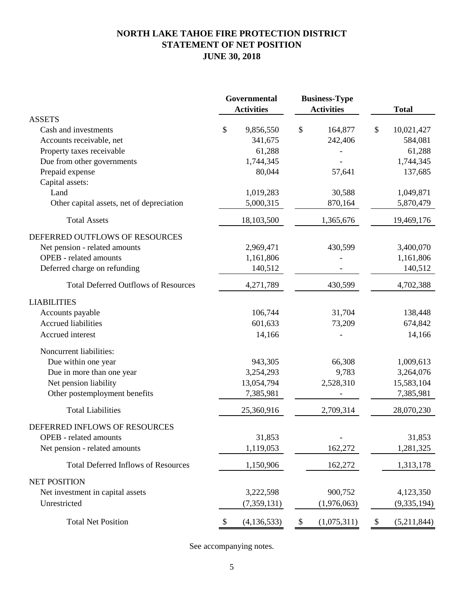# **NORTH LAKE TAHOE FIRE PROTECTION DISTRICT STATEMENT OF NET POSITION JUNE 30, 2018**

|                                             | Governmental<br><b>Business-Type</b><br><b>Activities</b><br><b>Activities</b> |               | <b>Total</b>      |                   |
|---------------------------------------------|--------------------------------------------------------------------------------|---------------|-------------------|-------------------|
| <b>ASSETS</b>                               |                                                                                |               |                   |                   |
| Cash and investments                        | \$                                                                             | 9,856,550     | \$<br>164,877     | \$<br>10,021,427  |
| Accounts receivable, net                    |                                                                                | 341,675       | 242,406           | 584,081           |
| Property taxes receivable                   |                                                                                | 61,288        |                   | 61,288            |
| Due from other governments                  |                                                                                | 1,744,345     |                   | 1,744,345         |
| Prepaid expense                             |                                                                                | 80,044        | 57,641            | 137,685           |
| Capital assets:                             |                                                                                |               |                   |                   |
| Land                                        |                                                                                | 1,019,283     | 30,588            | 1,049,871         |
| Other capital assets, net of depreciation   |                                                                                | 5,000,315     | 870,164           | 5,870,479         |
| <b>Total Assets</b>                         |                                                                                | 18,103,500    | 1,365,676         | 19,469,176        |
| DEFERRED OUTFLOWS OF RESOURCES              |                                                                                |               |                   |                   |
| Net pension - related amounts               |                                                                                | 2,969,471     | 430,599           | 3,400,070         |
| <b>OPEB</b> - related amounts               |                                                                                | 1,161,806     |                   | 1,161,806         |
| Deferred charge on refunding                |                                                                                | 140,512       |                   | 140,512           |
| <b>Total Deferred Outflows of Resources</b> |                                                                                | 4,271,789     | 430,599           | 4,702,388         |
| <b>LIABILITIES</b>                          |                                                                                |               |                   |                   |
| Accounts payable                            |                                                                                | 106,744       | 31,704            | 138,448           |
| <b>Accrued liabilities</b>                  |                                                                                | 601,633       | 73,209            | 674,842           |
| Accrued interest                            |                                                                                | 14,166        |                   | 14,166            |
| Noncurrent liabilities:                     |                                                                                |               |                   |                   |
| Due within one year                         |                                                                                | 943,305       | 66,308            | 1,009,613         |
| Due in more than one year                   |                                                                                | 3,254,293     | 9,783             | 3,264,076         |
| Net pension liability                       |                                                                                | 13,054,794    | 2,528,310         | 15,583,104        |
| Other postemployment benefits               |                                                                                | 7,385,981     |                   | 7,385,981         |
| <b>Total Liabilities</b>                    |                                                                                | 25,360,916    | 2,709,314         | 28,070,230        |
| DEFERRED INFLOWS OF RESOURCES               |                                                                                |               |                   |                   |
| <b>OPEB</b> - related amounts               |                                                                                | 31,853        |                   | 31,853            |
| Net pension - related amounts               |                                                                                | 1,119,053     | 162,272           | 1,281,325         |
| <b>Total Deferred Inflows of Resources</b>  |                                                                                | 1,150,906     | 162,272           | 1,313,178         |
| <b>NET POSITION</b>                         |                                                                                |               |                   |                   |
| Net investment in capital assets            |                                                                                | 3,222,598     | 900,752           | 4,123,350         |
| Unrestricted                                |                                                                                | (7,359,131)   | (1,976,063)       | (9, 335, 194)     |
| <b>Total Net Position</b>                   | \$                                                                             | (4, 136, 533) | \$<br>(1,075,311) | \$<br>(5,211,844) |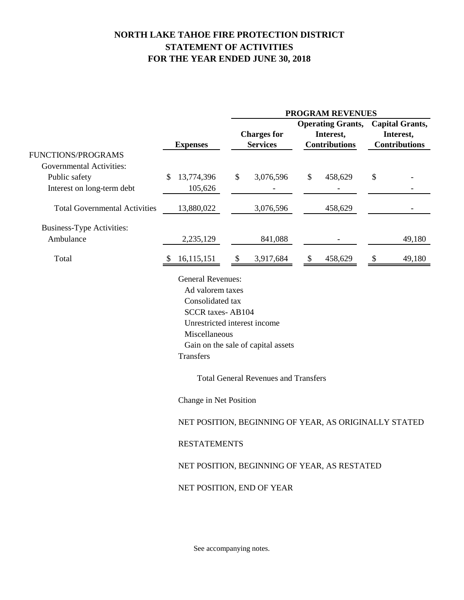# **NORTH LAKE TAHOE FIRE PROTECTION DISTRICT STATEMENT OF ACTIVITIES FOR THE YEAR ENDED JUNE 30, 2018**

|                                      |                                                                                                                                   | <b>PROGRAM REVENUES</b>                                                                                                                        |                                                                                                       |                                                             |  |  |  |  |
|--------------------------------------|-----------------------------------------------------------------------------------------------------------------------------------|------------------------------------------------------------------------------------------------------------------------------------------------|-------------------------------------------------------------------------------------------------------|-------------------------------------------------------------|--|--|--|--|
|                                      | <b>Expenses</b>                                                                                                                   | <b>Charges for</b><br><b>Services</b>                                                                                                          | <b>Operating Grants,</b><br>Interest,<br><b>Contributions</b>                                         | <b>Capital Grants,</b><br>Interest,<br><b>Contributions</b> |  |  |  |  |
| FUNCTIONS/PROGRAMS                   |                                                                                                                                   |                                                                                                                                                |                                                                                                       |                                                             |  |  |  |  |
| <b>Governmental Activities:</b>      |                                                                                                                                   |                                                                                                                                                |                                                                                                       |                                                             |  |  |  |  |
| Public safety                        | 13,774,396<br>\$                                                                                                                  | \$<br>3,076,596                                                                                                                                | 458,629<br>\$                                                                                         | \$                                                          |  |  |  |  |
| Interest on long-term debt           | 105,626                                                                                                                           |                                                                                                                                                |                                                                                                       |                                                             |  |  |  |  |
| <b>Total Governmental Activities</b> | 13,880,022                                                                                                                        | 3,076,596                                                                                                                                      | 458,629                                                                                               |                                                             |  |  |  |  |
| <b>Business-Type Activities:</b>     |                                                                                                                                   |                                                                                                                                                |                                                                                                       |                                                             |  |  |  |  |
| Ambulance                            | 2,235,129                                                                                                                         | 841,088                                                                                                                                        |                                                                                                       | 49,180                                                      |  |  |  |  |
| Total                                | 16,115,151<br>S                                                                                                                   | \$<br>3,917,684                                                                                                                                | $\frac{1}{2}$<br>458,629                                                                              | 49,180<br>-\$                                               |  |  |  |  |
|                                      | Consolidated tax<br><b>SCCR</b> taxes-AB104<br>Miscellaneous<br><b>Transfers</b><br>Change in Net Position<br><b>RESTATEMENTS</b> | Unrestricted interest income<br>Gain on the sale of capital assets<br><b>Total General Revenues and Transfers</b><br>NET POSITION, END OF YEAR | NET POSITION, BEGINNING OF YEAR, AS ORIGINALLY STATED<br>NET POSITION, BEGINNING OF YEAR, AS RESTATED |                                                             |  |  |  |  |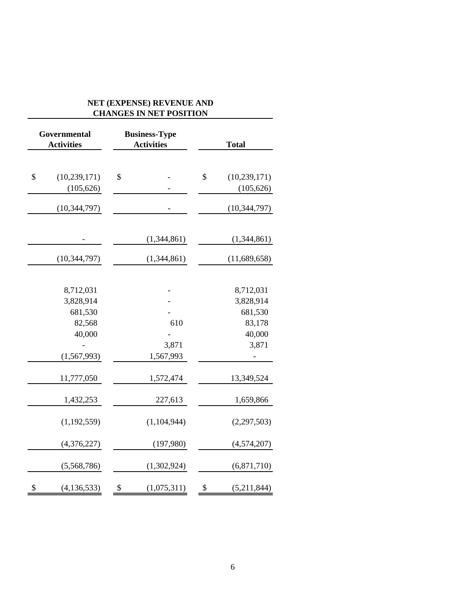| Governmental<br><b>Activities</b> | CHARGES IN NET L'OSITION<br><b>Business-Type</b><br><b>Activities</b> | <b>Total</b> |                |  |
|-----------------------------------|-----------------------------------------------------------------------|--------------|----------------|--|
|                                   |                                                                       |              |                |  |
| \$<br>(10, 239, 171)              | \$                                                                    | \$           | (10, 239, 171) |  |
| (105, 626)                        |                                                                       |              | (105, 626)     |  |
| (10, 344, 797)                    |                                                                       |              | (10, 344, 797) |  |
|                                   | (1,344,861)                                                           |              | (1,344,861)    |  |
| (10, 344, 797)                    | (1,344,861)                                                           |              | (11,689,658)   |  |
| 8,712,031                         |                                                                       |              | 8,712,031      |  |
| 3,828,914                         |                                                                       |              | 3,828,914      |  |
| 681,530                           |                                                                       |              | 681,530        |  |
| 82,568                            | 610                                                                   |              | 83,178         |  |
| 40,000                            |                                                                       |              | 40,000         |  |
|                                   | 3,871                                                                 |              | 3,871          |  |
| (1,567,993)                       | 1,567,993                                                             |              |                |  |
| 11,777,050                        | 1,572,474                                                             |              | 13,349,524     |  |
| 1,432,253                         | 227,613                                                               |              | 1,659,866      |  |
| (1,192,559)                       | (1,104,944)                                                           |              | (2, 297, 503)  |  |
| (4,376,227)                       | (197,980)                                                             |              | (4,574,207)    |  |
| (5,568,786)                       | (1,302,924)                                                           |              | (6,871,710)    |  |
| \$<br>(4, 136, 533)               | \$<br>(1,075,311)                                                     | \$           | (5,211,844)    |  |

#### **NET (EXPENSE) REVENUE AND CHANGES IN NET POSITION**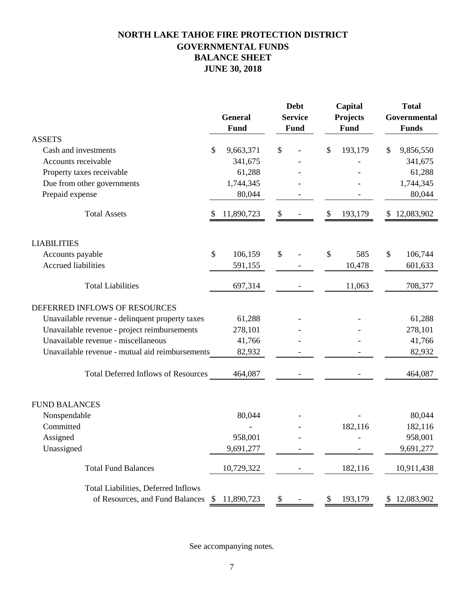# **NORTH LAKE TAHOE FIRE PROTECTION DISTRICT GOVERNMENTAL FUNDS BALANCE SHEET JUNE 30, 2018**

|                                                 |    | <b>General</b><br>Fund |    | <b>Debt</b><br><b>Service</b><br><b>Fund</b> |    | Capital<br>Projects<br>Fund |    | <b>Total</b><br>Governmental<br><b>Funds</b> |  |
|-------------------------------------------------|----|------------------------|----|----------------------------------------------|----|-----------------------------|----|----------------------------------------------|--|
| <b>ASSETS</b>                                   |    |                        |    |                                              |    |                             |    |                                              |  |
| Cash and investments                            | \$ | 9,663,371              | \$ |                                              | \$ | 193,179                     | \$ | 9,856,550                                    |  |
| Accounts receivable                             |    | 341,675                |    |                                              |    |                             |    | 341,675                                      |  |
| Property taxes receivable                       |    | 61,288                 |    |                                              |    |                             |    | 61,288                                       |  |
| Due from other governments                      |    | 1,744,345              |    |                                              |    |                             |    | 1,744,345                                    |  |
| Prepaid expense                                 |    | 80,044                 |    |                                              |    |                             |    | 80,044                                       |  |
| <b>Total Assets</b>                             | \$ | 11,890,723             | \$ |                                              | \$ | 193,179                     | \$ | 12,083,902                                   |  |
| <b>LIABILITIES</b>                              |    |                        |    |                                              |    |                             |    |                                              |  |
| Accounts payable                                | \$ | 106,159                | \$ |                                              | \$ | 585                         | \$ | 106,744                                      |  |
| <b>Accrued liabilities</b>                      |    | 591,155                |    |                                              |    | 10,478                      |    | 601,633                                      |  |
| <b>Total Liabilities</b>                        |    | 697,314                |    |                                              |    | 11,063                      |    | 708,377                                      |  |
| DEFERRED INFLOWS OF RESOURCES                   |    |                        |    |                                              |    |                             |    |                                              |  |
| Unavailable revenue - delinquent property taxes |    | 61,288                 |    |                                              |    |                             |    | 61,288                                       |  |
| Unavailable revenue - project reimbursements    |    | 278,101                |    |                                              |    |                             |    | 278,101                                      |  |
| Unavailable revenue - miscellaneous             |    | 41,766                 |    |                                              |    |                             |    | 41,766                                       |  |
| Unavailable revenue - mutual aid reimbursements |    | 82,932                 |    |                                              |    |                             |    | 82,932                                       |  |
| Total Deferred Inflows of Resources             |    | 464,087                |    |                                              |    |                             |    | 464,087                                      |  |
| <b>FUND BALANCES</b>                            |    |                        |    |                                              |    |                             |    |                                              |  |
| Nonspendable                                    |    | 80,044                 |    |                                              |    |                             |    | 80,044                                       |  |
| Committed                                       |    |                        |    |                                              |    | 182,116                     |    | 182,116                                      |  |
| Assigned                                        |    | 958,001                |    |                                              |    |                             |    | 958,001                                      |  |
| Unassigned                                      |    | 9,691,277              |    |                                              |    |                             |    | 9,691,277                                    |  |
| <b>Total Fund Balances</b>                      |    | 10,729,322             |    |                                              |    | 182,116                     |    | 10,911,438                                   |  |
| <b>Total Liabilities, Deferred Inflows</b>      |    |                        |    |                                              |    |                             |    |                                              |  |
| of Resources, and Fund Balances                 | \$ | 11,890,723             | \$ |                                              | \$ | 193,179                     | \$ | 12,083,902                                   |  |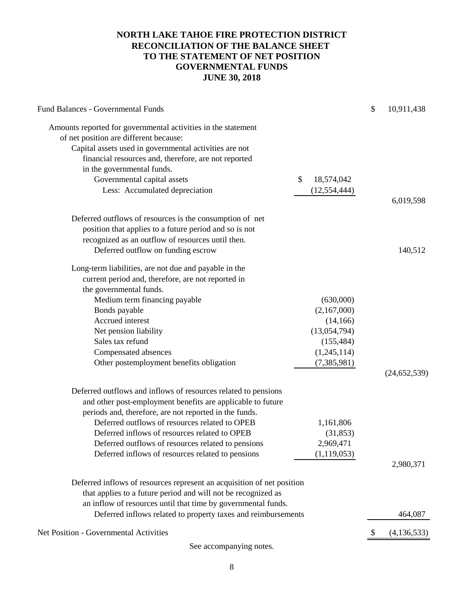## **NORTH LAKE TAHOE FIRE PROTECTION DISTRICT RECONCILIATION OF THE BALANCE SHEET TO THE STATEMENT OF NET POSITION GOVERNMENTAL FUNDS JUNE 30, 2018**

| Fund Balances - Governmental Funds                                     |                  | \$<br>10,911,438    |
|------------------------------------------------------------------------|------------------|---------------------|
| Amounts reported for governmental activities in the statement          |                  |                     |
| of net position are different because:                                 |                  |                     |
| Capital assets used in governmental activities are not                 |                  |                     |
| financial resources and, therefore, are not reported                   |                  |                     |
| in the governmental funds.                                             |                  |                     |
| Governmental capital assets                                            | \$<br>18,574,042 |                     |
| Less: Accumulated depreciation                                         | (12, 554, 444)   |                     |
|                                                                        |                  | 6,019,598           |
| Deferred outflows of resources is the consumption of net               |                  |                     |
| position that applies to a future period and so is not                 |                  |                     |
| recognized as an outflow of resources until then.                      |                  |                     |
| Deferred outflow on funding escrow                                     |                  | 140,512             |
| Long-term liabilities, are not due and payable in the                  |                  |                     |
| current period and, therefore, are not reported in                     |                  |                     |
| the governmental funds.                                                |                  |                     |
| Medium term financing payable                                          | (630,000)        |                     |
| Bonds payable                                                          | (2,167,000)      |                     |
| Accrued interest                                                       | (14,166)         |                     |
| Net pension liability                                                  | (13,054,794)     |                     |
| Sales tax refund                                                       | (155, 484)       |                     |
| Compensated absences                                                   | (1,245,114)      |                     |
| Other postemployment benefits obligation                               | (7,385,981)      |                     |
|                                                                        |                  | (24, 652, 539)      |
| Deferred outflows and inflows of resources related to pensions         |                  |                     |
| and other post-employment benefits are applicable to future            |                  |                     |
| periods and, therefore, are not reported in the funds.                 |                  |                     |
| Deferred outflows of resources related to OPEB                         | 1,161,806        |                     |
| Deferred inflows of resources related to OPEB                          | (31, 853)        |                     |
| Deferred outflows of resources related to pensions                     | 2,969,471        |                     |
| Deferred inflows of resources related to pensions                      | (1, 119, 053)    |                     |
|                                                                        |                  | 2,980,371           |
| Deferred inflows of resources represent an acquisition of net position |                  |                     |
| that applies to a future period and will not be recognized as          |                  |                     |
| an inflow of resources until that time by governmental funds.          |                  |                     |
| Deferred inflows related to property taxes and reimbursements          |                  | 464,087             |
| Net Position - Governmental Activities                                 |                  | \$<br>(4, 136, 533) |
|                                                                        |                  |                     |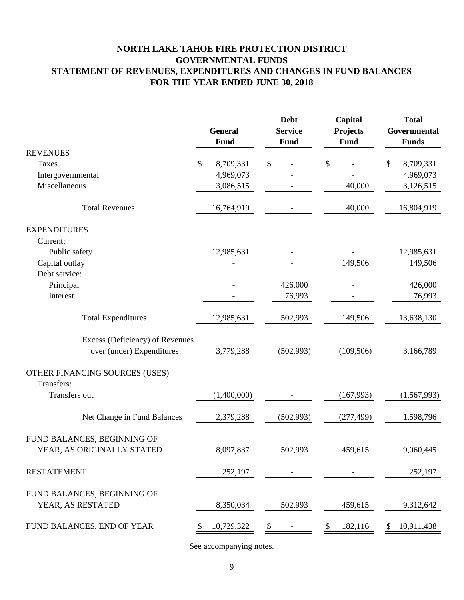# **NORTH LAKE TAHOE FIRE PROTECTION DISTRICT GOVERNMENTAL FUNDS STATEMENT OF REVENUES, EXPENDITURES AND CHANGES IN FUND BALANCES FOR THE YEAR ENDED JUNE 30, 2018**

|                                                           | <b>General</b><br>Fund |             | <b>Debt</b><br><b>Service</b><br>Fund |    | Capital<br><b>Projects</b><br>Fund |    | <b>Total</b><br>Governmental<br><b>Funds</b> |  |
|-----------------------------------------------------------|------------------------|-------------|---------------------------------------|----|------------------------------------|----|----------------------------------------------|--|
| <b>REVENUES</b>                                           |                        |             |                                       |    |                                    |    |                                              |  |
| Taxes                                                     | \$                     | 8,709,331   | \$                                    | \$ |                                    | \$ | 8,709,331                                    |  |
| Intergovernmental                                         |                        | 4,969,073   |                                       |    |                                    |    | 4,969,073                                    |  |
| Miscellaneous                                             |                        | 3,086,515   |                                       |    | 40,000                             |    | 3,126,515                                    |  |
| <b>Total Revenues</b>                                     |                        | 16,764,919  |                                       |    | 40,000                             |    | 16,804,919                                   |  |
| <b>EXPENDITURES</b><br>Current:                           |                        |             |                                       |    |                                    |    |                                              |  |
| Public safety                                             |                        | 12,985,631  |                                       |    |                                    |    | 12,985,631                                   |  |
| Capital outlay                                            |                        |             |                                       |    | 149,506                            |    | 149,506                                      |  |
| Debt service:                                             |                        |             |                                       |    |                                    |    |                                              |  |
| Principal                                                 |                        |             | 426,000                               |    |                                    |    | 426,000                                      |  |
| Interest                                                  |                        |             | 76,993                                |    |                                    |    | 76,993                                       |  |
| <b>Total Expenditures</b>                                 |                        | 12,985,631  | 502,993                               |    | 149,506                            |    | 13,638,130                                   |  |
| Excess (Deficiency) of Revenues                           |                        |             |                                       |    |                                    |    |                                              |  |
| over (under) Expenditures                                 |                        | 3,779,288   | (502,993)                             |    | (109, 506)                         |    | 3,166,789                                    |  |
| OTHER FINANCING SOURCES (USES)<br>Transfers:              |                        |             |                                       |    |                                    |    |                                              |  |
| Transfers out                                             |                        | (1,400,000) |                                       |    | (167,993)                          |    | (1,567,993)                                  |  |
| Net Change in Fund Balances                               |                        | 2,379,288   | (502, 993)                            |    | (277, 499)                         |    | 1,598,796                                    |  |
| FUND BALANCES, BEGINNING OF<br>YEAR, AS ORIGINALLY STATED |                        | 8,097,837   | 502,993                               |    | 459,615                            |    | 9,060,445                                    |  |
| <b>RESTATEMENT</b>                                        |                        | 252,197     |                                       |    |                                    |    | 252,197                                      |  |
| FUND BALANCES, BEGINNING OF<br>YEAR, AS RESTATED          |                        | 8,350,034   | 502,993                               |    | 459,615                            |    | 9,312,642                                    |  |
| FUND BALANCES, END OF YEAR                                |                        | 10,729,322  |                                       |    | 182,116                            |    | 10,911,438                                   |  |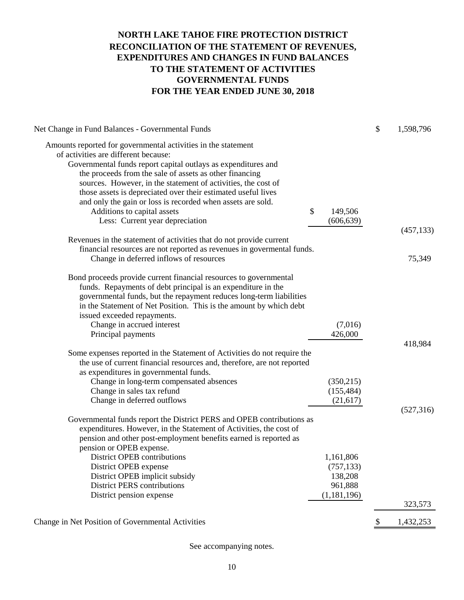# **NORTH LAKE TAHOE FIRE PROTECTION DISTRICT RECONCILIATION OF THE STATEMENT OF REVENUES, EXPENDITURES AND CHANGES IN FUND BALANCES TO THE STATEMENT OF ACTIVITIES GOVERNMENTAL FUNDS FOR THE YEAR ENDED JUNE 30, 2018**

| Net Change in Fund Balances - Governmental Funds                                             |               | \$<br>1,598,796 |
|----------------------------------------------------------------------------------------------|---------------|-----------------|
| Amounts reported for governmental activities in the statement                                |               |                 |
| of activities are different because:                                                         |               |                 |
| Governmental funds report capital outlays as expenditures and                                |               |                 |
| the proceeds from the sale of assets as other financing                                      |               |                 |
| sources. However, in the statement of activities, the cost of                                |               |                 |
| those assets is depreciated over their estimated useful lives                                |               |                 |
| and only the gain or loss is recorded when assets are sold.                                  |               |                 |
| Additions to capital assets                                                                  | \$<br>149,506 |                 |
| Less: Current year depreciation                                                              | (606, 639)    |                 |
| Revenues in the statement of activities that do not provide current                          |               | (457, 133)      |
| financial resources are not reported as revenues in governental funds.                       |               |                 |
| Change in deferred inflows of resources                                                      |               | 75,349          |
|                                                                                              |               |                 |
| Bond proceeds provide current financial resources to governmental                            |               |                 |
| funds. Repayments of debt principal is an expenditure in the                                 |               |                 |
| governmental funds, but the repayment reduces long-term liabilities                          |               |                 |
| in the Statement of Net Position. This is the amount by which debt                           |               |                 |
| issued exceeded repayments.                                                                  |               |                 |
| Change in accrued interest                                                                   | (7,016)       |                 |
| Principal payments                                                                           | 426,000       |                 |
|                                                                                              |               | 418,984         |
| Some expenses reported in the Statement of Activities do not require the                     |               |                 |
| the use of current financial resources and, therefore, are not reported                      |               |                 |
| as expenditures in governmental funds.                                                       |               |                 |
| Change in long-term compensated absences                                                     | (350,215)     |                 |
| Change in sales tax refund                                                                   | (155, 484)    |                 |
| Change in deferred outflows                                                                  | (21, 617)     |                 |
|                                                                                              |               | (527,316)       |
| Governmental funds report the District PERS and OPEB contributions as                        |               |                 |
| expenditures. However, in the Statement of Activities, the cost of                           |               |                 |
| pension and other post-employment benefits earned is reported as<br>pension or OPEB expense. |               |                 |
| District OPEB contributions                                                                  | 1,161,806     |                 |
| District OPEB expense                                                                        | (757, 133)    |                 |
| District OPEB implicit subsidy                                                               | 138,208       |                 |
| <b>District PERS contributions</b>                                                           | 961,888       |                 |
| District pension expense                                                                     | (1,181,196)   |                 |
|                                                                                              |               | 323,573         |
| Change in Net Position of Governmental Activities                                            |               | \$<br>1,432,253 |
|                                                                                              |               |                 |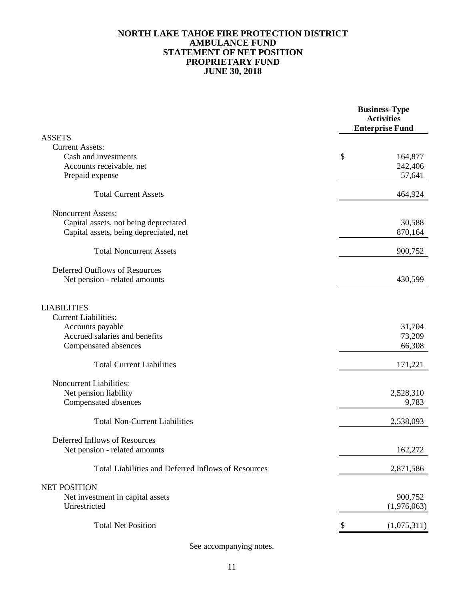### **JUNE 30, 2018 PROPRIETARY FUND STATEMENT OF NET POSITION AMBULANCE FUND NORTH LAKE TAHOE FIRE PROTECTION DISTRICT**

|                                                     | <b>Business-Type</b><br><b>Activities</b><br><b>Enterprise Fund</b> |
|-----------------------------------------------------|---------------------------------------------------------------------|
| <b>ASSETS</b>                                       |                                                                     |
| <b>Current Assets:</b>                              |                                                                     |
| Cash and investments                                | \$<br>164,877                                                       |
| Accounts receivable, net                            | 242,406                                                             |
| Prepaid expense                                     | 57,641                                                              |
| <b>Total Current Assets</b>                         | 464,924                                                             |
| <b>Noncurrent Assets:</b>                           |                                                                     |
| Capital assets, not being depreciated               | 30,588                                                              |
| Capital assets, being depreciated, net              | 870,164                                                             |
| <b>Total Noncurrent Assets</b>                      | 900,752                                                             |
| Deferred Outflows of Resources                      |                                                                     |
| Net pension - related amounts                       | 430,599                                                             |
|                                                     |                                                                     |
| <b>LIABILITIES</b>                                  |                                                                     |
| <b>Current Liabilities:</b>                         |                                                                     |
| Accounts payable                                    | 31,704                                                              |
| Accrued salaries and benefits                       | 73,209                                                              |
| Compensated absences                                | 66,308                                                              |
| <b>Total Current Liabilities</b>                    | 171,221                                                             |
| Noncurrent Liabilities:                             |                                                                     |
| Net pension liability                               | 2,528,310                                                           |
| Compensated absences                                | 9,783                                                               |
| <b>Total Non-Current Liabilities</b>                | 2,538,093                                                           |
| Deferred Inflows of Resources                       |                                                                     |
| Net pension - related amounts                       | 162,272                                                             |
| Total Liabilities and Deferred Inflows of Resources | 2,871,586                                                           |
| <b>NET POSITION</b>                                 |                                                                     |
| Net investment in capital assets                    | 900,752                                                             |
| Unrestricted                                        | (1,976,063)                                                         |
| <b>Total Net Position</b>                           | (1,075,311)                                                         |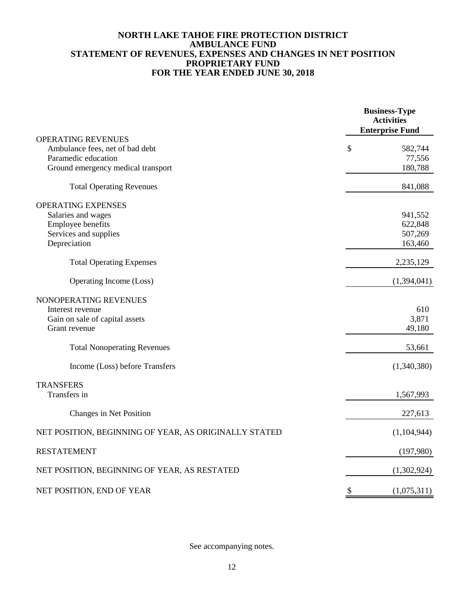### **NORTH LAKE TAHOE FIRE PROTECTION DISTRICT AMBULANCE FUND STATEMENT OF REVENUES, EXPENSES AND CHANGES IN NET POSITION PROPRIETARY FUND FOR THE YEAR ENDED JUNE 30, 2018**

|                                                       |                           | <b>Business-Type</b><br><b>Activities</b><br><b>Enterprise Fund</b> |
|-------------------------------------------------------|---------------------------|---------------------------------------------------------------------|
| <b>OPERATING REVENUES</b>                             |                           |                                                                     |
| Ambulance fees, net of bad debt                       | \$                        | 582,744                                                             |
| Paramedic education                                   |                           | 77,556                                                              |
| Ground emergency medical transport                    |                           | 180,788                                                             |
| <b>Total Operating Revenues</b>                       |                           | 841,088                                                             |
| OPERATING EXPENSES                                    |                           |                                                                     |
| Salaries and wages                                    |                           | 941,552                                                             |
| Employee benefits                                     |                           | 622,848                                                             |
| Services and supplies                                 |                           | 507,269                                                             |
| Depreciation                                          |                           | 163,460                                                             |
| <b>Total Operating Expenses</b>                       |                           | 2,235,129                                                           |
| Operating Income (Loss)                               |                           | (1,394,041)                                                         |
| NONOPERATING REVENUES                                 |                           |                                                                     |
| Interest revenue                                      |                           | 610                                                                 |
| Gain on sale of capital assets                        |                           | 3,871                                                               |
| Grant revenue                                         |                           | 49,180                                                              |
| <b>Total Nonoperating Revenues</b>                    |                           | 53,661                                                              |
| Income (Loss) before Transfers                        |                           | (1,340,380)                                                         |
| <b>TRANSFERS</b>                                      |                           |                                                                     |
| Transfers in                                          |                           | 1,567,993                                                           |
| Changes in Net Position                               |                           | 227,613                                                             |
| NET POSITION, BEGINNING OF YEAR, AS ORIGINALLY STATED |                           | (1,104,944)                                                         |
| <b>RESTATEMENT</b>                                    |                           | (197,980)                                                           |
| NET POSITION, BEGINNING OF YEAR, AS RESTATED          |                           | (1,302,924)                                                         |
| NET POSITION, END OF YEAR                             | $\boldsymbol{\mathsf{S}}$ | (1,075,311)                                                         |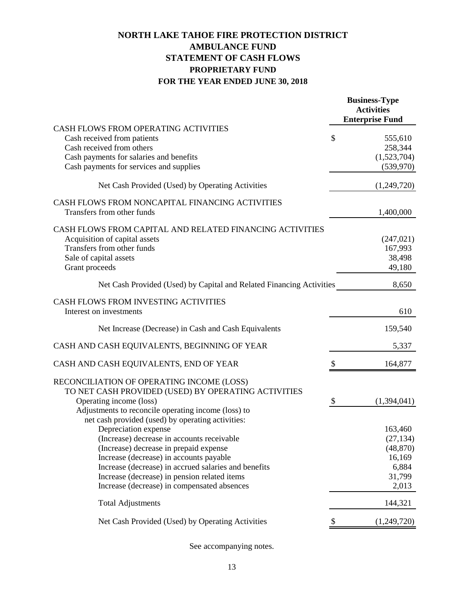# **NORTH LAKE TAHOE FIRE PROTECTION DISTRICT AMBULANCE FUND STATEMENT OF CASH FLOWS PROPRIETARY FUND FOR THE YEAR ENDED JUNE 30, 2018**

|                                                                                                                                                                     | <b>Business-Type</b><br><b>Activities</b><br><b>Enterprise Fund</b> |
|---------------------------------------------------------------------------------------------------------------------------------------------------------------------|---------------------------------------------------------------------|
| CASH FLOWS FROM OPERATING ACTIVITIES                                                                                                                                |                                                                     |
| Cash received from patients                                                                                                                                         | \$<br>555,610                                                       |
| Cash received from others<br>Cash payments for salaries and benefits                                                                                                | 258,344<br>(1,523,704)                                              |
| Cash payments for services and supplies                                                                                                                             | (539, 970)                                                          |
|                                                                                                                                                                     |                                                                     |
| Net Cash Provided (Used) by Operating Activities                                                                                                                    | (1,249,720)                                                         |
| CASH FLOWS FROM NONCAPITAL FINANCING ACTIVITIES<br>Transfers from other funds                                                                                       | 1,400,000                                                           |
| CASH FLOWS FROM CAPITAL AND RELATED FINANCING ACTIVITIES<br>Acquisition of capital assets<br>Transfers from other funds<br>Sale of capital assets<br>Grant proceeds | (247, 021)<br>167,993<br>38,498<br>49,180                           |
| Net Cash Provided (Used) by Capital and Related Financing Activities                                                                                                | 8,650                                                               |
| CASH FLOWS FROM INVESTING ACTIVITIES<br>Interest on investments                                                                                                     | 610                                                                 |
| Net Increase (Decrease) in Cash and Cash Equivalents                                                                                                                | 159,540                                                             |
| CASH AND CASH EQUIVALENTS, BEGINNING OF YEAR                                                                                                                        | 5,337                                                               |
| CASH AND CASH EQUIVALENTS, END OF YEAR                                                                                                                              | \$<br>164,877                                                       |
| RECONCILIATION OF OPERATING INCOME (LOSS)<br>TO NET CASH PROVIDED (USED) BY OPERATING ACTIVITIES                                                                    |                                                                     |
| Operating income (loss)                                                                                                                                             | \$<br>(1,394,041)                                                   |
| Adjustments to reconcile operating income (loss) to<br>net cash provided (used) by operating activities:                                                            |                                                                     |
| Depreciation expense                                                                                                                                                | 163,460                                                             |
| (Increase) decrease in accounts receivable                                                                                                                          | (27, 134)                                                           |
| (Increase) decrease in prepaid expense                                                                                                                              | (48, 870)                                                           |
| Increase (decrease) in accounts payable                                                                                                                             | 16,169                                                              |
| Increase (decrease) in accrued salaries and benefits                                                                                                                | 6,884                                                               |
| Increase (decrease) in pension related items                                                                                                                        | 31,799                                                              |
| Increase (decrease) in compensated absences                                                                                                                         | 2,013                                                               |
| <b>Total Adjustments</b>                                                                                                                                            | 144,321                                                             |
| Net Cash Provided (Used) by Operating Activities                                                                                                                    | (1,249,720)                                                         |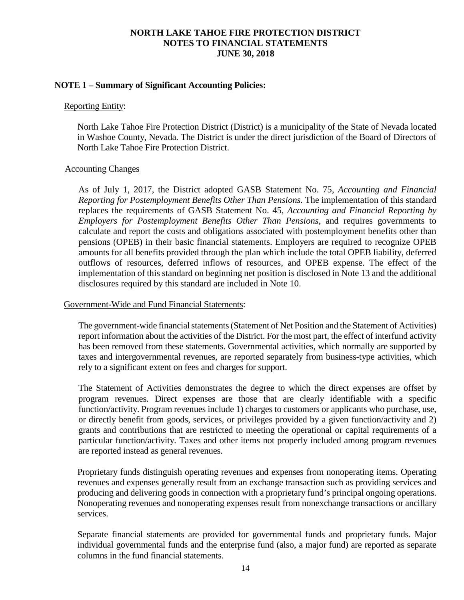#### **NOTE 1 – Summary of Significant Accounting Policies:**

#### Reporting Entity:

North Lake Tahoe Fire Protection District (District) is a municipality of the State of Nevada located in Washoe County, Nevada. The District is under the direct jurisdiction of the Board of Directors of North Lake Tahoe Fire Protection District.

#### Accounting Changes

As of July 1, 2017, the District adopted GASB Statement No. 75, *Accounting and Financial Reporting for Postemployment Benefits Other Than Pensions.* The implementation of this standard replaces the requirements of GASB Statement No. 45, *Accounting and Financial Reporting by Employers for Postemployment Benefits Other Than Pensions*, and requires governments to calculate and report the costs and obligations associated with postemployment benefits other than pensions (OPEB) in their basic financial statements. Employers are required to recognize OPEB amounts for all benefits provided through the plan which include the total OPEB liability, deferred outflows of resources, deferred inflows of resources, and OPEB expense. The effect of the implementation of this standard on beginning net position is disclosed in Note 13 and the additional disclosures required by this standard are included in Note 10.

#### Government-Wide and Fund Financial Statements:

The government-wide financial statements (Statement of Net Position and the Statement of Activities) report information about the activities of the District. For the most part, the effect of interfund activity has been removed from these statements. Governmental activities, which normally are supported by taxes and intergovernmental revenues, are reported separately from business-type activities, which rely to a significant extent on fees and charges for support.

The Statement of Activities demonstrates the degree to which the direct expenses are offset by program revenues. Direct expenses are those that are clearly identifiable with a specific function/activity. Program revenues include 1) charges to customers or applicants who purchase, use, or directly benefit from goods, services, or privileges provided by a given function/activity and 2) grants and contributions that are restricted to meeting the operational or capital requirements of a particular function/activity. Taxes and other items not properly included among program revenues are reported instead as general revenues.

Proprietary funds distinguish operating revenues and expenses from nonoperating items. Operating revenues and expenses generally result from an exchange transaction such as providing services and producing and delivering goods in connection with a proprietary fund's principal ongoing operations. Nonoperating revenues and nonoperating expenses result from nonexchange transactions or ancillary services.

Separate financial statements are provided for governmental funds and proprietary funds. Major individual governmental funds and the enterprise fund (also, a major fund) are reported as separate columns in the fund financial statements.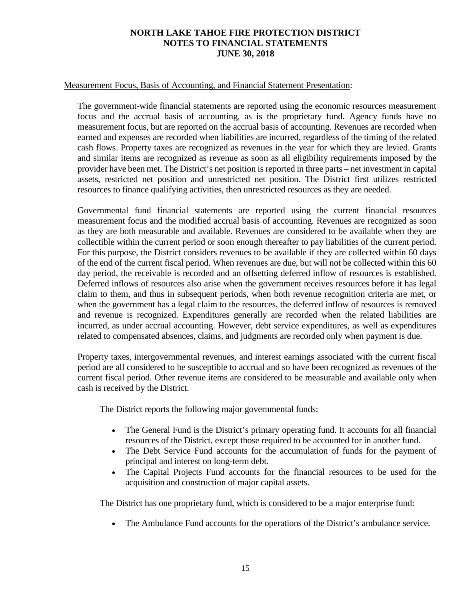### Measurement Focus, Basis of Accounting, and Financial Statement Presentation:

The government-wide financial statements are reported using the economic resources measurement focus and the accrual basis of accounting, as is the proprietary fund. Agency funds have no measurement focus, but are reported on the accrual basis of accounting. Revenues are recorded when earned and expenses are recorded when liabilities are incurred, regardless of the timing of the related cash flows. Property taxes are recognized as revenues in the year for which they are levied. Grants and similar items are recognized as revenue as soon as all eligibility requirements imposed by the provider have been met. The District's net position isreported in three parts – net investment in capital assets, restricted net position and unrestricted net position. The District first utilizes restricted resources to finance qualifying activities, then unrestricted resources as they are needed.

Governmental fund financial statements are reported using the current financial resources measurement focus and the modified accrual basis of accounting. Revenues are recognized as soon as they are both measurable and available. Revenues are considered to be available when they are collectible within the current period or soon enough thereafter to pay liabilities of the current period. For this purpose, the District considers revenues to be available if they are collected within 60 days of the end of the current fiscal period. When revenues are due, but will not be collected within this 60 day period, the receivable is recorded and an offsetting deferred inflow of resources is established. Deferred inflows of resources also arise when the government receives resources before it has legal claim to them, and thus in subsequent periods, when both revenue recognition criteria are met, or when the government has a legal claim to the resources, the deferred inflow of resources is removed and revenue is recognized. Expenditures generally are recorded when the related liabilities are incurred, as under accrual accounting. However, debt service expenditures, as well as expenditures related to compensated absences, claims, and judgments are recorded only when payment is due.

Property taxes, intergovernmental revenues, and interest earnings associated with the current fiscal period are all considered to be susceptible to accrual and so have been recognized as revenues of the current fiscal period. Other revenue items are considered to be measurable and available only when cash is received by the District.

The District reports the following major governmental funds:

- The General Fund is the District's primary operating fund. It accounts for all financial resources of the District, except those required to be accounted for in another fund.
- The Debt Service Fund accounts for the accumulation of funds for the payment of principal and interest on long-term debt.
- The Capital Projects Fund accounts for the financial resources to be used for the acquisition and construction of major capital assets.

The District has one proprietary fund, which is considered to be a major enterprise fund:

• The Ambulance Fund accounts for the operations of the District's ambulance service.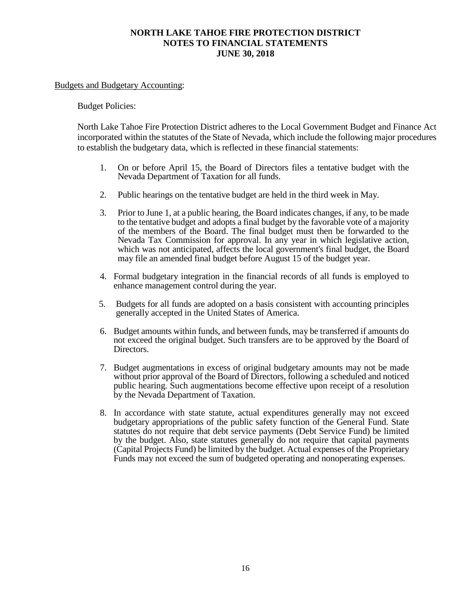#### Budgets and Budgetary Accounting:

#### Budget Policies:

North Lake Tahoe Fire Protection District adheres to the Local Government Budget and Finance Act incorporated within the statutes of the State of Nevada, which include the following major procedures to establish the budgetary data, which is reflected in these financial statements:

- 1. On or before April 15, the Board of Directors files a tentative budget with the Nevada Department of Taxation for all funds.
- 2. Public hearings on the tentative budget are held in the third week in May.
- 3. Prior to June 1, at a public hearing, the Board indicates changes, if any, to be made to the tentative budget and adopts a final budget by the favorable vote of a majority of the members of the Board. The final budget must then be forwarded to the Nevada Tax Commission for approval. In any year in which legislative action, which was not anticipated, affects the local government's final budget, the Board may file an amended final budget before August 15 of the budget year.
- 4. Formal budgetary integration in the financial records of all funds is employed to enhance management control during the year.
- 5. Budgets for all funds are adopted on a basis consistent with accounting principles generally accepted in the United States of America.
- 6. Budget amounts within funds, and between funds, may be transferred if amounts do not exceed the original budget. Such transfers are to be approved by the Board of Directors.
- 7. Budget augmentations in excess of original budgetary amounts may not be made without prior approval of the Board of Directors, following a scheduled and noticed public hearing. Such augmentations become effective upon receipt of a resolution by the Nevada Department of Taxation.
- 8. In accordance with state statute, actual expenditures generally may not exceed budgetary appropriations of the public safety function of the General Fund. State statutes do not require that debt service payments (Debt Service Fund) be limited by the budget. Also, state statutes generally do not require that capital payments (Capital Projects Fund) be limited by the budget. Actual expenses of the Proprietary Funds may not exceed the sum of budgeted operating and nonoperating expenses.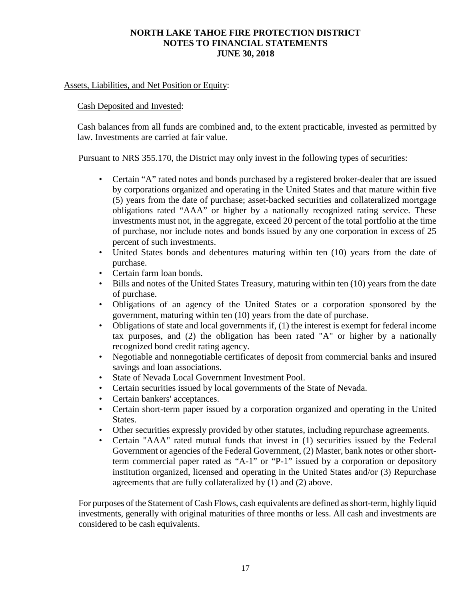### Assets, Liabilities, and Net Position or Equity:

#### Cash Deposited and Invested:

Cash balances from all funds are combined and, to the extent practicable, invested as permitted by law. Investments are carried at fair value.

Pursuant to NRS 355.170, the District may only invest in the following types of securities:

- Certain "A" rated notes and bonds purchased by a registered broker-dealer that are issued by corporations organized and operating in the United States and that mature within five (5) years from the date of purchase; asset-backed securities and collateralized mortgage obligations rated "AAA" or higher by a nationally recognized rating service. These investments must not, in the aggregate, exceed 20 percent of the total portfolio at the time of purchase, nor include notes and bonds issued by any one corporation in excess of 25 percent of such investments.
- United States bonds and debentures maturing within ten (10) years from the date of purchase.
- Certain farm loan bonds.
- Bills and notes of the United States Treasury, maturing within ten (10) years from the date of purchase.
- Obligations of an agency of the United States or a corporation sponsored by the government, maturing within ten (10) years from the date of purchase.
- Obligations of state and local governments if, (1) the interest is exempt for federal income tax purposes, and (2) the obligation has been rated "A" or higher by a nationally recognized bond credit rating agency.
- Negotiable and nonnegotiable certificates of deposit from commercial banks and insured savings and loan associations.
- State of Nevada Local Government Investment Pool.
- Certain securities issued by local governments of the State of Nevada.
- Certain bankers' acceptances.
- Certain short-term paper issued by a corporation organized and operating in the United States.
- Other securities expressly provided by other statutes, including repurchase agreements.
- Certain "AAA" rated mutual funds that invest in (1) securities issued by the Federal Government or agencies of the Federal Government, (2) Master, bank notes or other shortterm commercial paper rated as "A-1" or "P-1" issued by a corporation or depository institution organized, licensed and operating in the United States and/or (3) Repurchase agreements that are fully collateralized by (1) and (2) above.

For purposes of the Statement of Cash Flows, cash equivalents are defined as short-term, highly liquid investments, generally with original maturities of three months or less. All cash and investments are considered to be cash equivalents.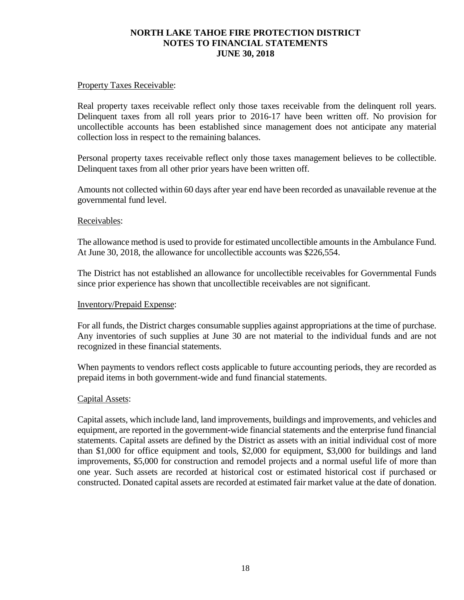#### Property Taxes Receivable:

Real property taxes receivable reflect only those taxes receivable from the delinquent roll years. Delinquent taxes from all roll years prior to 2016-17 have been written off. No provision for uncollectible accounts has been established since management does not anticipate any material collection loss in respect to the remaining balances.

Personal property taxes receivable reflect only those taxes management believes to be collectible. Delinquent taxes from all other prior years have been written off.

Amounts not collected within 60 days after year end have been recorded as unavailable revenue at the governmental fund level.

#### Receivables:

The allowance method is used to provide for estimated uncollectible amounts in the Ambulance Fund. At June 30, 2018, the allowance for uncollectible accounts was \$226,554.

The District has not established an allowance for uncollectible receivables for Governmental Funds since prior experience has shown that uncollectible receivables are not significant.

#### Inventory/Prepaid Expense:

For all funds, the District charges consumable supplies against appropriations at the time of purchase. Any inventories of such supplies at June 30 are not material to the individual funds and are not recognized in these financial statements.

When payments to vendors reflect costs applicable to future accounting periods, they are recorded as prepaid items in both government-wide and fund financial statements.

#### Capital Assets:

Capital assets, which include land, land improvements, buildings and improvements, and vehicles and equipment, are reported in the government-wide financial statements and the enterprise fund financial statements. Capital assets are defined by the District as assets with an initial individual cost of more than \$1,000 for office equipment and tools, \$2,000 for equipment, \$3,000 for buildings and land improvements, \$5,000 for construction and remodel projects and a normal useful life of more than one year. Such assets are recorded at historical cost or estimated historical cost if purchased or constructed. Donated capital assets are recorded at estimated fair market value at the date of donation.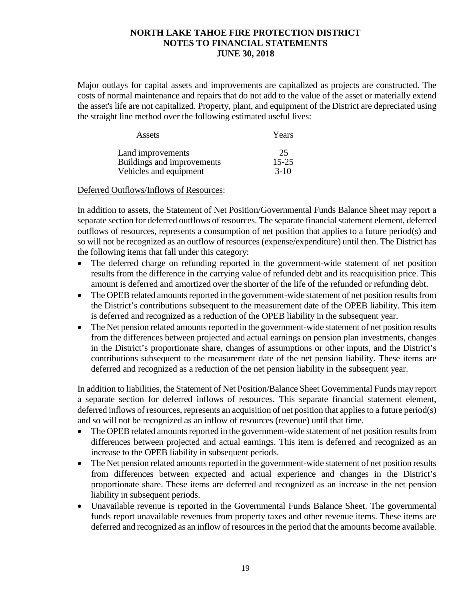Major outlays for capital assets and improvements are capitalized as projects are constructed. The costs of normal maintenance and repairs that do not add to the value of the asset or materially extend the asset's life are not capitalized. Property, plant, and equipment of the District are depreciated using the straight line method over the following estimated useful lives:

| Assets                     | Years     |
|----------------------------|-----------|
| Land improvements          | 25        |
| Buildings and improvements | $15 - 25$ |
| Vehicles and equipment     | $3-10$    |

### Deferred Outflows/Inflows of Resources:

In addition to assets, the Statement of Net Position/Governmental Funds Balance Sheet may report a separate section for deferred outflows of resources. The separate financial statement element, deferred outflows of resources, represents a consumption of net position that applies to a future period(s) and so will not be recognized as an outflow of resources (expense/expenditure) until then. The District has the following items that fall under this category:

- The deferred charge on refunding reported in the government-wide statement of net position results from the difference in the carrying value of refunded debt and its reacquisition price. This amount is deferred and amortized over the shorter of the life of the refunded or refunding debt.
- The OPEB related amounts reported in the government-wide statement of net position results from the District's contributions subsequent to the measurement date of the OPEB liability. This item is deferred and recognized as a reduction of the OPEB liability in the subsequent year.
- The Net pension related amounts reported in the government-wide statement of net position results from the differences between projected and actual earnings on pension plan investments, changes in the District's proportionate share, changes of assumptions or other inputs, and the District's contributions subsequent to the measurement date of the net pension liability. These items are deferred and recognized as a reduction of the net pension liability in the subsequent year.

In addition to liabilities, the Statement of Net Position/Balance Sheet Governmental Funds may report a separate section for deferred inflows of resources. This separate financial statement element, deferred inflows of resources, represents an acquisition of net position that applies to a future period(s) and so will not be recognized as an inflow of resources (revenue) until that time.

- The OPEB related amounts reported in the government-wide statement of net position results from differences between projected and actual earnings. This item is deferred and recognized as an increase to the OPEB liability in subsequent periods.
- The Net pension related amounts reported in the government-wide statement of net position results from differences between expected and actual experience and changes in the District's proportionate share. These items are deferred and recognized as an increase in the net pension liability in subsequent periods.
- Unavailable revenue is reported in the Governmental Funds Balance Sheet. The governmental funds report unavailable revenues from property taxes and other revenue items. These items are deferred and recognized as an inflow of resources in the period that the amounts become available.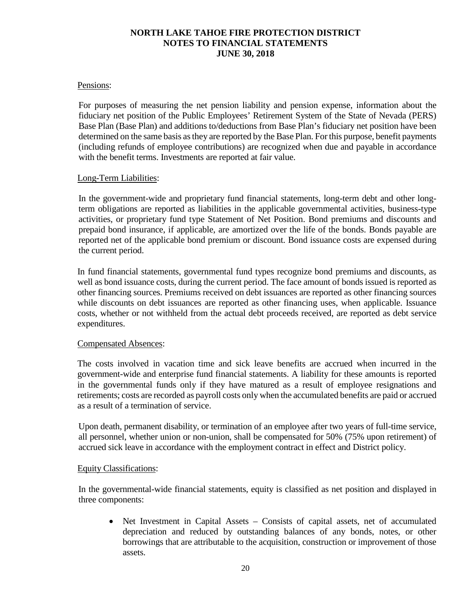#### Pensions:

For purposes of measuring the net pension liability and pension expense, information about the fiduciary net position of the Public Employees' Retirement System of the State of Nevada (PERS) Base Plan (Base Plan) and additions to/deductions from Base Plan's fiduciary net position have been determined on the same basis as they are reported by the Base Plan. For this purpose, benefit payments (including refunds of employee contributions) are recognized when due and payable in accordance with the benefit terms. Investments are reported at fair value.

#### Long-Term Liabilities:

In the government-wide and proprietary fund financial statements, long-term debt and other longterm obligations are reported as liabilities in the applicable governmental activities, business-type activities, or proprietary fund type Statement of Net Position. Bond premiums and discounts and prepaid bond insurance, if applicable, are amortized over the life of the bonds. Bonds payable are reported net of the applicable bond premium or discount. Bond issuance costs are expensed during the current period.

In fund financial statements, governmental fund types recognize bond premiums and discounts, as well as bond issuance costs, during the current period. The face amount of bonds issued is reported as other financing sources. Premiums received on debt issuances are reported as other financing sources while discounts on debt issuances are reported as other financing uses, when applicable. Issuance costs, whether or not withheld from the actual debt proceeds received, are reported as debt service expenditures.

#### Compensated Absences:

The costs involved in vacation time and sick leave benefits are accrued when incurred in the government-wide and enterprise fund financial statements. A liability for these amounts is reported in the governmental funds only if they have matured as a result of employee resignations and retirements; costs are recorded as payroll costs only when the accumulated benefits are paid or accrued as a result of a termination of service.

Upon death, permanent disability, or termination of an employee after two years of full-time service, all personnel, whether union or non-union, shall be compensated for 50% (75% upon retirement) of accrued sick leave in accordance with the employment contract in effect and District policy.

#### Equity Classifications:

In the governmental-wide financial statements, equity is classified as net position and displayed in three components:

• Net Investment in Capital Assets – Consists of capital assets, net of accumulated depreciation and reduced by outstanding balances of any bonds, notes, or other borrowings that are attributable to the acquisition, construction or improvement of those assets.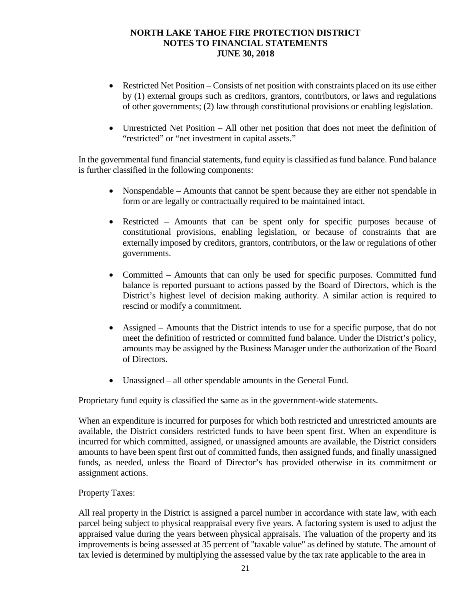- Restricted Net Position Consists of net position with constraints placed on its use either by (1) external groups such as creditors, grantors, contributors, or laws and regulations of other governments; (2) law through constitutional provisions or enabling legislation.
- Unrestricted Net Position All other net position that does not meet the definition of "restricted" or "net investment in capital assets."

In the governmental fund financial statements, fund equity is classified as fund balance. Fund balance is further classified in the following components:

- Nonspendable Amounts that cannot be spent because they are either not spendable in form or are legally or contractually required to be maintained intact.
- Restricted Amounts that can be spent only for specific purposes because of constitutional provisions, enabling legislation, or because of constraints that are externally imposed by creditors, grantors, contributors, or the law or regulations of other governments.
- Committed Amounts that can only be used for specific purposes. Committed fund balance is reported pursuant to actions passed by the Board of Directors, which is the District's highest level of decision making authority. A similar action is required to rescind or modify a commitment.
- Assigned Amounts that the District intends to use for a specific purpose, that do not meet the definition of restricted or committed fund balance. Under the District's policy, amounts may be assigned by the Business Manager under the authorization of the Board of Directors.
- Unassigned all other spendable amounts in the General Fund.

Proprietary fund equity is classified the same as in the government-wide statements.

When an expenditure is incurred for purposes for which both restricted and unrestricted amounts are available, the District considers restricted funds to have been spent first. When an expenditure is incurred for which committed, assigned, or unassigned amounts are available, the District considers amounts to have been spent first out of committed funds, then assigned funds, and finally unassigned funds, as needed, unless the Board of Director's has provided otherwise in its commitment or assignment actions.

### Property Taxes:

All real property in the District is assigned a parcel number in accordance with state law, with each parcel being subject to physical reappraisal every five years. A factoring system is used to adjust the appraised value during the years between physical appraisals. The valuation of the property and its improvements is being assessed at 35 percent of "taxable value" as defined by statute. The amount of tax levied is determined by multiplying the assessed value by the tax rate applicable to the area in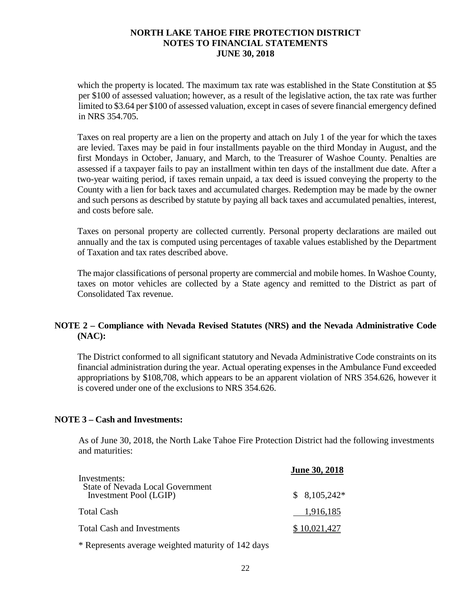which the property is located. The maximum tax rate was established in the State Constitution at \$5 per \$100 of assessed valuation; however, as a result of the legislative action, the tax rate was further limited to \$3.64 per \$100 of assessed valuation, except in cases of severe financial emergency defined in NRS 354.705.

Taxes on real property are a lien on the property and attach on July 1 of the year for which the taxes are levied. Taxes may be paid in four installments payable on the third Monday in August, and the first Mondays in October, January, and March, to the Treasurer of Washoe County. Penalties are assessed if a taxpayer fails to pay an installment within ten days of the installment due date. After a two-year waiting period, if taxes remain unpaid, a tax deed is issued conveying the property to the County with a lien for back taxes and accumulated charges. Redemption may be made by the owner and such persons as described by statute by paying all back taxes and accumulated penalties, interest, and costs before sale.

Taxes on personal property are collected currently. Personal property declarations are mailed out annually and the tax is computed using percentages of taxable values established by the Department of Taxation and tax rates described above.

The major classifications of personal property are commercial and mobile homes. In Washoe County, taxes on motor vehicles are collected by a State agency and remitted to the District as part of Consolidated Tax revenue.

## **NOTE 2 – Compliance with Nevada Revised Statutes (NRS) and the Nevada Administrative Code (NAC):**

The District conformed to all significant statutory and Nevada Administrative Code constraints on its financial administration during the year. Actual operating expenses in the Ambulance Fund exceeded appropriations by \$108,708, which appears to be an apparent violation of NRS 354.626, however it is covered under one of the exclusions to NRS 354.626.

### **NOTE 3 – Cash and Investments:**

As of June 30, 2018, the North Lake Tahoe Fire Protection District had the following investments and maturities:

| Investments:                                                      | <b>June 30, 2018</b> |
|-------------------------------------------------------------------|----------------------|
| <b>State of Nevada Local Government</b><br>Investment Pool (LGIP) | $$8,105,242*$        |
| Total Cash                                                        | 1,916,185            |
| <b>Total Cash and Investments</b>                                 | \$10,021,427         |

\* Represents average weighted maturity of 142 days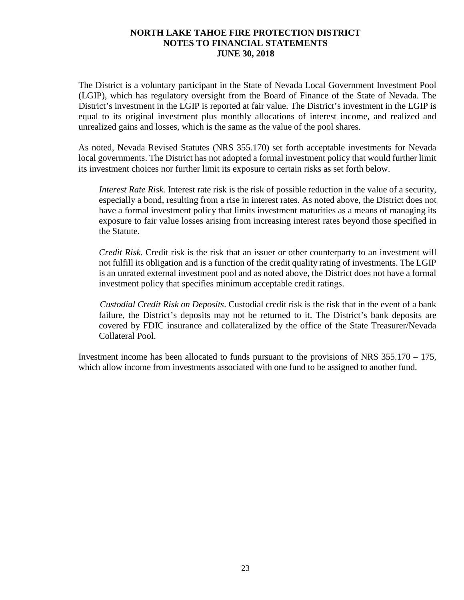The District is a voluntary participant in the State of Nevada Local Government Investment Pool (LGIP), which has regulatory oversight from the Board of Finance of the State of Nevada. The District's investment in the LGIP is reported at fair value. The District's investment in the LGIP is equal to its original investment plus monthly allocations of interest income, and realized and unrealized gains and losses, which is the same as the value of the pool shares.

As noted, Nevada Revised Statutes (NRS 355.170) set forth acceptable investments for Nevada local governments. The District has not adopted a formal investment policy that would further limit its investment choices nor further limit its exposure to certain risks as set forth below.

*Interest Rate Risk.* Interest rate risk is the risk of possible reduction in the value of a security, especially a bond, resulting from a rise in interest rates. As noted above, the District does not have a formal investment policy that limits investment maturities as a means of managing its exposure to fair value losses arising from increasing interest rates beyond those specified in the Statute.

*Credit Risk.* Credit risk is the risk that an issuer or other counterparty to an investment will not fulfill its obligation and is a function of the credit quality rating of investments. The LGIP is an unrated external investment pool and as noted above, the District does not have a formal investment policy that specifies minimum acceptable credit ratings.

*Custodial Credit Risk on Deposits*. Custodial credit risk is the risk that in the event of a bank failure, the District's deposits may not be returned to it. The District's bank deposits are covered by FDIC insurance and collateralized by the office of the State Treasurer/Nevada Collateral Pool.

Investment income has been allocated to funds pursuant to the provisions of NRS 355.170 – 175, which allow income from investments associated with one fund to be assigned to another fund.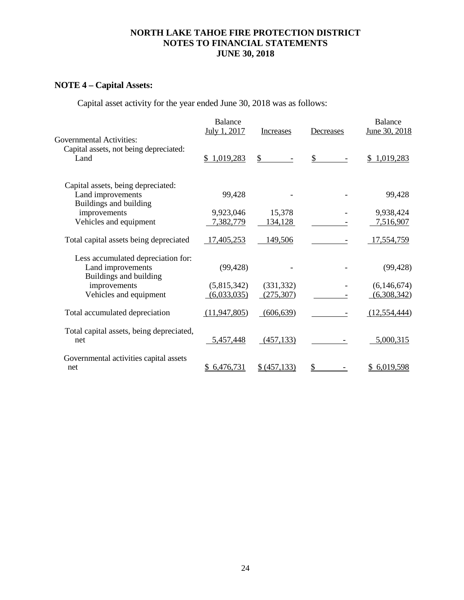# **NOTE 4 – Capital Assets:**

Capital asset activity for the year ended June 30, 2018 was as follows:

| <b>Governmental Activities:</b>                                                   | <b>Balance</b><br>July 1, 2017 | Increases    | Decreases     | <b>Balance</b><br>June 30, 2018 |
|-----------------------------------------------------------------------------------|--------------------------------|--------------|---------------|---------------------------------|
| Capital assets, not being depreciated:<br>Land                                    | \$1,019,283                    | \$           | $\mathcal{S}$ | \$1,019,283                     |
| Capital assets, being depreciated:<br>Land improvements<br>Buildings and building | 99,428                         |              |               | 99,428                          |
| improvements                                                                      | 9,923,046                      | 15,378       |               | 9,938,424                       |
| Vehicles and equipment                                                            | 7,382,779                      | 134,128      |               | 7,516,907                       |
| Total capital assets being depreciated                                            | 17,405,253                     | 149,506      |               | 17,554,759                      |
| Less accumulated depreciation for:<br>Land improvements<br>Buildings and building | (99, 428)                      |              |               | (99, 428)                       |
| improvements                                                                      | (5,815,342)                    | (331, 332)   |               | (6, 146, 674)                   |
| Vehicles and equipment                                                            | (6,033,035)                    | (275, 307)   |               | (6,308,342)                     |
| Total accumulated depreciation                                                    | (11, 947, 805)                 | (606, 639)   |               | (12, 554, 444)                  |
| Total capital assets, being depreciated,<br>net                                   | 5,457,448                      | (457, 133)   |               | 5,000,315                       |
| Governmental activities capital assets<br>net                                     | 6,476,731<br>\$                | \$ (457,133) | \$            | 6,019,598                       |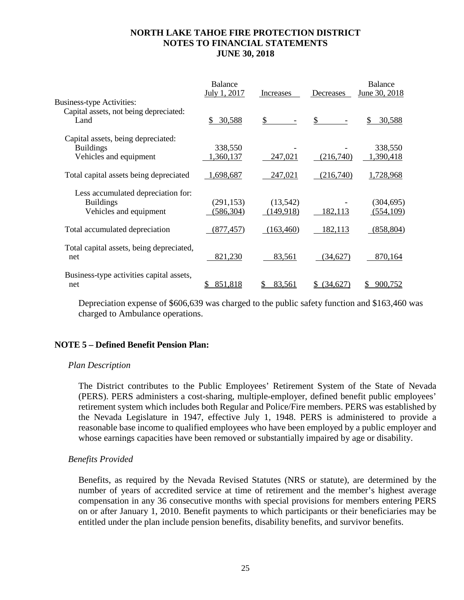|                                                                                  | Balance<br>July 1, 2017  | Increases              | Decreases     | <b>Balance</b><br>June 30, 2018 |
|----------------------------------------------------------------------------------|--------------------------|------------------------|---------------|---------------------------------|
| <b>Business-type Activities:</b>                                                 |                          |                        |               |                                 |
| Capital assets, not being depreciated:<br>Land                                   | \$30,588                 | \$                     | \$            | S.<br>30,588                    |
| Capital assets, being depreciated:<br><b>Buildings</b>                           | 338,550                  |                        |               | 338,550                         |
| Vehicles and equipment                                                           | ,360,137                 | 247,021                | (216,740)     | 1,390,418                       |
| Total capital assets being depreciated                                           | 1,698,687                | 247,021                | (216,740)     | 1,728,968                       |
| Less accumulated depreciation for:<br><b>Buildings</b><br>Vehicles and equipment | (291, 153)<br>(586, 304) | (13,542)<br>(149, 918) | 182,113       | (304, 695)<br>(554, 109)        |
| Total accumulated depreciation                                                   | (877, 457)               | (163,460)              | 182,113       | (858, 804)                      |
| Total capital assets, being depreciated,<br>net                                  | 821,230                  | 83,561                 | (34,627)      | 870,164                         |
| Business-type activities capital assets,<br>net                                  | 851,818                  | 83,561                 | <u>34,627</u> | 900.752                         |

Depreciation expense of \$606,639 was charged to the public safety function and \$163,460 was charged to Ambulance operations.

### **NOTE 5 – Defined Benefit Pension Plan:**

#### *Plan Description*

The District contributes to the Public Employees' Retirement System of the State of Nevada (PERS). PERS administers a cost-sharing, multiple-employer, defined benefit public employees' retirement system which includes both Regular and Police/Fire members. PERS was established by the Nevada Legislature in 1947, effective July 1, 1948. PERS is administered to provide a reasonable base income to qualified employees who have been employed by a public employer and whose earnings capacities have been removed or substantially impaired by age or disability.

#### *Benefits Provided*

Benefits, as required by the Nevada Revised Statutes (NRS or statute), are determined by the number of years of accredited service at time of retirement and the member's highest average compensation in any 36 consecutive months with special provisions for members entering PERS on or after January 1, 2010. Benefit payments to which participants or their beneficiaries may be entitled under the plan include pension benefits, disability benefits, and survivor benefits.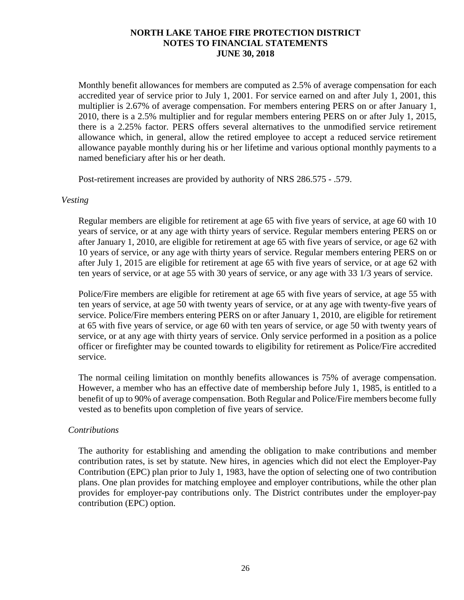Monthly benefit allowances for members are computed as 2.5% of average compensation for each accredited year of service prior to July 1, 2001. For service earned on and after July 1, 2001, this multiplier is 2.67% of average compensation. For members entering PERS on or after January 1, 2010, there is a 2.5% multiplier and for regular members entering PERS on or after July 1, 2015, there is a 2.25% factor. PERS offers several alternatives to the unmodified service retirement allowance which, in general, allow the retired employee to accept a reduced service retirement allowance payable monthly during his or her lifetime and various optional monthly payments to a named beneficiary after his or her death.

Post-retirement increases are provided by authority of NRS 286.575 - .579.

#### *Vesting*

Regular members are eligible for retirement at age 65 with five years of service, at age 60 with 10 years of service, or at any age with thirty years of service. Regular members entering PERS on or after January 1, 2010, are eligible for retirement at age 65 with five years of service, or age 62 with 10 years of service, or any age with thirty years of service. Regular members entering PERS on or after July 1, 2015 are eligible for retirement at age 65 with five years of service, or at age 62 with ten years of service, or at age 55 with 30 years of service, or any age with 33 1/3 years of service.

Police/Fire members are eligible for retirement at age 65 with five years of service, at age 55 with ten years of service, at age 50 with twenty years of service, or at any age with twenty-five years of service. Police/Fire members entering PERS on or after January 1, 2010, are eligible for retirement at 65 with five years of service, or age 60 with ten years of service, or age 50 with twenty years of service, or at any age with thirty years of service. Only service performed in a position as a police officer or firefighter may be counted towards to eligibility for retirement as Police/Fire accredited service.

The normal ceiling limitation on monthly benefits allowances is 75% of average compensation. However, a member who has an effective date of membership before July 1, 1985, is entitled to a benefit of up to 90% of average compensation. Both Regular and Police/Fire members become fully vested as to benefits upon completion of five years of service.

### *Contributions*

The authority for establishing and amending the obligation to make contributions and member contribution rates, is set by statute. New hires, in agencies which did not elect the Employer-Pay Contribution (EPC) plan prior to July 1, 1983, have the option of selecting one of two contribution plans. One plan provides for matching employee and employer contributions, while the other plan provides for employer-pay contributions only. The District contributes under the employer-pay contribution (EPC) option.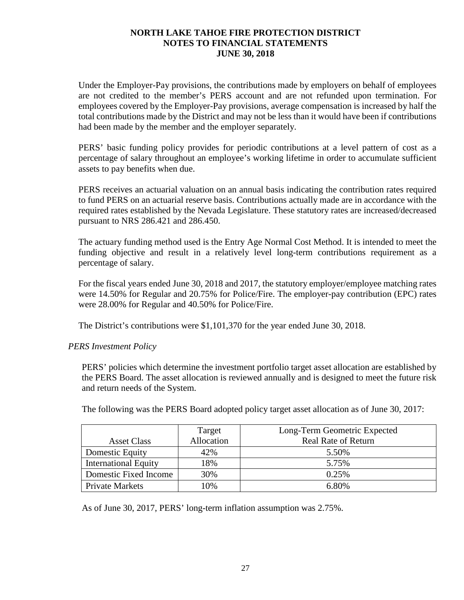Under the Employer-Pay provisions, the contributions made by employers on behalf of employees are not credited to the member's PERS account and are not refunded upon termination. For employees covered by the Employer-Pay provisions, average compensation is increased by half the total contributions made by the District and may not be less than it would have been if contributions had been made by the member and the employer separately.

PERS' basic funding policy provides for periodic contributions at a level pattern of cost as a percentage of salary throughout an employee's working lifetime in order to accumulate sufficient assets to pay benefits when due.

PERS receives an actuarial valuation on an annual basis indicating the contribution rates required to fund PERS on an actuarial reserve basis. Contributions actually made are in accordance with the required rates established by the Nevada Legislature. These statutory rates are increased/decreased pursuant to NRS 286.421 and 286.450.

The actuary funding method used is the Entry Age Normal Cost Method. It is intended to meet the funding objective and result in a relatively level long-term contributions requirement as a percentage of salary.

For the fiscal years ended June 30, 2018 and 2017, the statutory employer/employee matching rates were 14.50% for Regular and 20.75% for Police/Fire. The employer-pay contribution (EPC) rates were 28.00% for Regular and 40.50% for Police/Fire.

The District's contributions were \$1,101,370 for the year ended June 30, 2018.

## *PERS Investment Policy*

PERS' policies which determine the investment portfolio target asset allocation are established by the PERS Board. The asset allocation is reviewed annually and is designed to meet the future risk and return needs of the System.

|                             | Target     | Long-Term Geometric Expected |
|-----------------------------|------------|------------------------------|
| <b>Asset Class</b>          | Allocation | <b>Real Rate of Return</b>   |
| Domestic Equity             | 42%        | 5.50%                        |
| <b>International Equity</b> | 18%        | 5.75%                        |
| Domestic Fixed Income       | 30%        | 0.25%                        |
| <b>Private Markets</b>      | 10%        | 6.80%                        |

The following was the PERS Board adopted policy target asset allocation as of June 30, 2017:

As of June 30, 2017, PERS' long-term inflation assumption was 2.75%.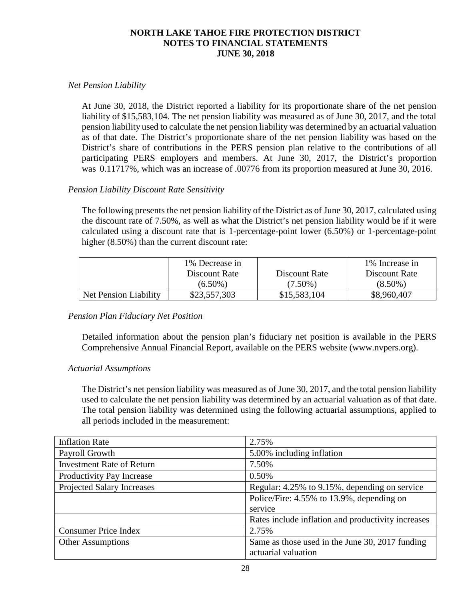## *Net Pension Liability*

At June 30, 2018, the District reported a liability for its proportionate share of the net pension liability of \$15,583,104. The net pension liability was measured as of June 30, 2017, and the total pension liability used to calculate the net pension liability was determined by an actuarial valuation as of that date. The District's proportionate share of the net pension liability was based on the District's share of contributions in the PERS pension plan relative to the contributions of all participating PERS employers and members. At June 30, 2017, the District's proportion was 0.11717%, which was an increase of .00776 from its proportion measured at June 30, 2016.

## *Pension Liability Discount Rate Sensitivity*

The following presents the net pension liability of the District as of June 30, 2017, calculated using the discount rate of 7.50%, as well as what the District's net pension liability would be if it were calculated using a discount rate that is 1-percentage-point lower (6.50%) or 1-percentage-point higher (8.50%) than the current discount rate:

|                       | 1% Decrease in |               | 1% Increase in |
|-----------------------|----------------|---------------|----------------|
|                       | Discount Rate  | Discount Rate | Discount Rate  |
|                       | $(6.50\%)$     | $(7.50\%)$    | $(8.50\%)$     |
| Net Pension Liability | \$23,557,303   | \$15,583,104  | \$8,960,407    |

## *Pension Plan Fiduciary Net Position*

Detailed information about the pension plan's fiduciary net position is available in the PERS Comprehensive Annual Financial Report, available on the PERS website (www.nvpers.org).

### *Actuarial Assumptions*

The District's net pension liability was measured as of June 30, 2017, and the total pension liability used to calculate the net pension liability was determined by an actuarial valuation as of that date. The total pension liability was determined using the following actuarial assumptions, applied to all periods included in the measurement:

| <b>Inflation Rate</b>             | 2.75%                                              |
|-----------------------------------|----------------------------------------------------|
| Payroll Growth                    | 5.00% including inflation                          |
| <b>Investment Rate of Return</b>  | 7.50%                                              |
| Productivity Pay Increase         | 0.50%                                              |
| <b>Projected Salary Increases</b> | Regular: 4.25% to 9.15%, depending on service      |
|                                   | Police/Fire: 4.55% to 13.9%, depending on          |
|                                   | service                                            |
|                                   | Rates include inflation and productivity increases |
| <b>Consumer Price Index</b>       | 2.75%                                              |
| <b>Other Assumptions</b>          | Same as those used in the June 30, 2017 funding    |
|                                   | actuarial valuation                                |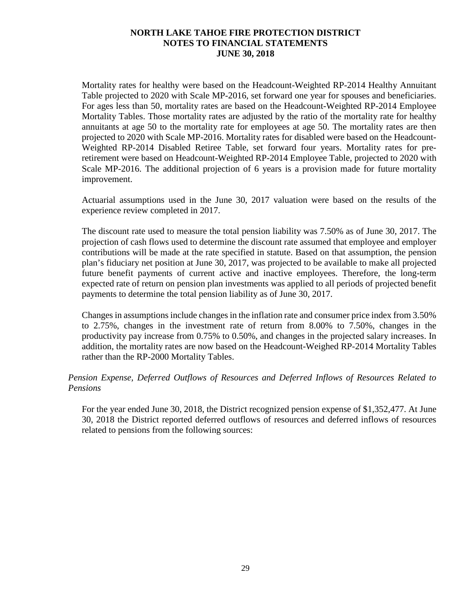Mortality rates for healthy were based on the Headcount-Weighted RP-2014 Healthy Annuitant Table projected to 2020 with Scale MP-2016, set forward one year for spouses and beneficiaries. For ages less than 50, mortality rates are based on the Headcount-Weighted RP-2014 Employee Mortality Tables. Those mortality rates are adjusted by the ratio of the mortality rate for healthy annuitants at age 50 to the mortality rate for employees at age 50. The mortality rates are then projected to 2020 with Scale MP-2016. Mortality rates for disabled were based on the Headcount-Weighted RP-2014 Disabled Retiree Table, set forward four years. Mortality rates for preretirement were based on Headcount-Weighted RP-2014 Employee Table, projected to 2020 with Scale MP-2016. The additional projection of 6 years is a provision made for future mortality improvement.

Actuarial assumptions used in the June 30, 2017 valuation were based on the results of the experience review completed in 2017.

The discount rate used to measure the total pension liability was 7.50% as of June 30, 2017. The projection of cash flows used to determine the discount rate assumed that employee and employer contributions will be made at the rate specified in statute. Based on that assumption, the pension plan's fiduciary net position at June 30, 2017, was projected to be available to make all projected future benefit payments of current active and inactive employees. Therefore, the long-term expected rate of return on pension plan investments was applied to all periods of projected benefit payments to determine the total pension liability as of June 30, 2017.

Changes in assumptions include changes in the inflation rate and consumer price index from 3.50% to 2.75%, changes in the investment rate of return from 8.00% to 7.50%, changes in the productivity pay increase from 0.75% to 0.50%, and changes in the projected salary increases. In addition, the mortality rates are now based on the Headcount-Weighed RP-2014 Mortality Tables rather than the RP-2000 Mortality Tables.

## *Pension Expense, Deferred Outflows of Resources and Deferred Inflows of Resources Related to Pensions*

For the year ended June 30, 2018, the District recognized pension expense of \$1,352,477. At June 30, 2018 the District reported deferred outflows of resources and deferred inflows of resources related to pensions from the following sources: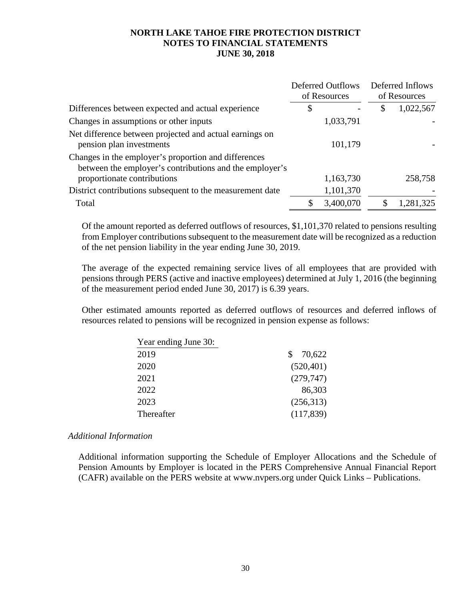|                                                                                                                 |    | <b>Deferred Outflows</b><br>of Resources |    | Deferred Inflows<br>of Resources |  |
|-----------------------------------------------------------------------------------------------------------------|----|------------------------------------------|----|----------------------------------|--|
| Differences between expected and actual experience                                                              | \$ |                                          | \$ | 1,022,567                        |  |
| Changes in assumptions or other inputs                                                                          |    | 1,033,791                                |    |                                  |  |
| Net difference between projected and actual earnings on<br>pension plan investments                             |    | 101,179                                  |    |                                  |  |
| Changes in the employer's proportion and differences<br>between the employer's contributions and the employer's |    |                                          |    |                                  |  |
| proportionate contributions                                                                                     |    | 1,163,730                                |    | 258,758                          |  |
| District contributions subsequent to the measurement date                                                       |    | 1,101,370                                |    |                                  |  |
| Total                                                                                                           |    | 3,400,070                                |    | 1,281,325                        |  |

Of the amount reported as deferred outflows of resources, \$1,101,370 related to pensions resulting from Employer contributions subsequent to the measurement date will be recognized as a reduction of the net pension liability in the year ending June 30, 2019.

The average of the expected remaining service lives of all employees that are provided with pensions through PERS (active and inactive employees) determined at July 1, 2016 (the beginning of the measurement period ended June 30, 2017) is 6.39 years.

Other estimated amounts reported as deferred outflows of resources and deferred inflows of resources related to pensions will be recognized in pension expense as follows:

| Year ending June 30: |            |
|----------------------|------------|
| 2019                 | 70,622     |
| 2020                 | (520, 401) |
| 2021                 | (279, 747) |
| 2022                 | 86,303     |
| 2023                 | (256,313)  |
| Thereafter           | (117, 839) |

### *Additional Information*

Additional information supporting the Schedule of Employer Allocations and the Schedule of Pension Amounts by Employer is located in the PERS Comprehensive Annual Financial Report (CAFR) available on the PERS website at www.nvpers.org under Quick Links – Publications.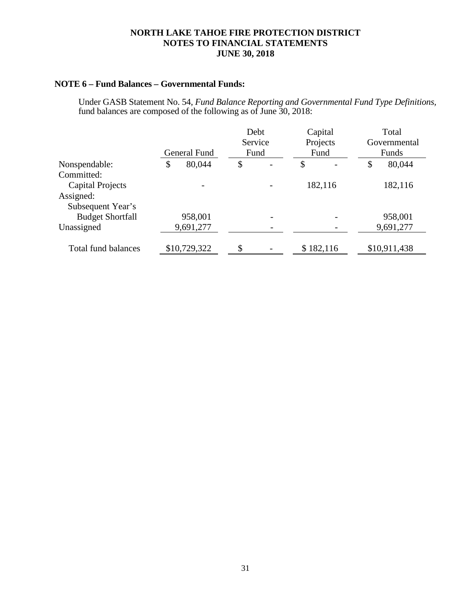## **NOTE 6 – Fund Balances – Governmental Funds:**

Under GASB Statement No. 54, *Fund Balance Reporting and Governmental Fund Type Definitions,* fund balances are composed of the following as of June 30, 2018:

|                            |              | Debt<br>Service<br>Fund |  |    | Capital<br>Projects<br>Fund |    | Total<br>Governmental |  |
|----------------------------|--------------|-------------------------|--|----|-----------------------------|----|-----------------------|--|
|                            | General Fund |                         |  |    |                             |    | Funds                 |  |
| Nonspendable:              | \$<br>80,044 | \$                      |  | \$ |                             | \$ | 80,044                |  |
| Committed:                 |              |                         |  |    |                             |    |                       |  |
| <b>Capital Projects</b>    |              |                         |  |    | 182,116                     |    | 182,116               |  |
| Assigned:                  |              |                         |  |    |                             |    |                       |  |
| Subsequent Year's          |              |                         |  |    |                             |    |                       |  |
| <b>Budget Shortfall</b>    | 958,001      |                         |  |    |                             |    | 958,001               |  |
| Unassigned                 | 9,691,277    |                         |  |    |                             |    | 9,691,277             |  |
|                            |              |                         |  |    |                             |    |                       |  |
| <b>Total fund balances</b> | \$10,729,322 | \$                      |  |    | \$182,116                   |    | \$10,911,438          |  |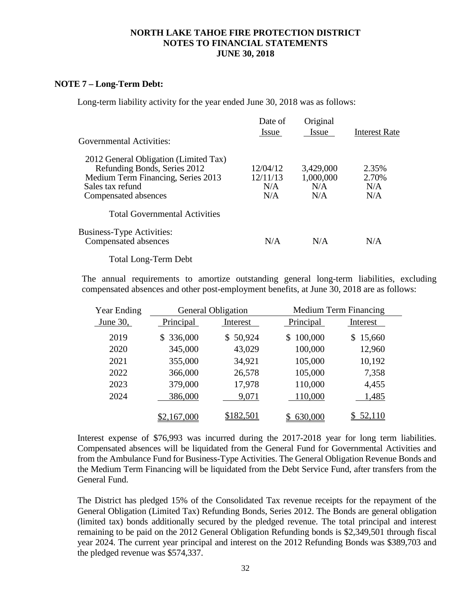#### **NOTE 7 – Long-Term Debt:**

Long-term liability activity for the year ended June 30, 2018 was as follows:

| Governmental Activities:                                                                                                                                | Date of<br>Issue                   | Original<br><i>Issue</i>             | <b>Interest Rate</b>         |
|---------------------------------------------------------------------------------------------------------------------------------------------------------|------------------------------------|--------------------------------------|------------------------------|
| 2012 General Obligation (Limited Tax)<br>Refunding Bonds, Series 2012<br>Medium Term Financing, Series 2013<br>Sales tax refund<br>Compensated absences | 12/04/12<br>12/11/13<br>N/A<br>N/A | 3,429,000<br>1,000,000<br>N/A<br>N/A | 2.35%<br>2.70%<br>N/A<br>N/A |
| <b>Total Governmental Activities</b>                                                                                                                    |                                    |                                      |                              |
| <b>Business-Type Activities:</b><br>Compensated absences                                                                                                | N/A                                | N/A                                  | N/A                          |

Total Long-Term Debt

The annual requirements to amortize outstanding general long-term liabilities, excluding compensated absences and other post-employment benefits, at June 30, 2018 are as follows:

| Year Ending | <b>General Obligation</b> |              |               | <b>Medium Term Financing</b> |
|-------------|---------------------------|--------------|---------------|------------------------------|
| June $30$ , | Principal                 | Interest     | Principal     | Interest                     |
| 2019        | \$336,000                 | 50,924<br>S. | 100,000<br>\$ | 15,660<br>\$                 |
| 2020        | 345,000                   | 43,029       | 100,000       | 12,960                       |
| 2021        | 355,000                   | 34,921       | 105,000       | 10,192                       |
| 2022        | 366,000                   | 26,578       | 105,000       | 7,358                        |
| 2023        | 379,000                   | 17,978       | 110,000       | 4,455                        |
| 2024        | 386,000                   | 9,071        | 110,000       | 1,485                        |
|             | \$2,167,000               | \$182,501    | 630,000       | 52,110                       |

Interest expense of \$76,993 was incurred during the 2017-2018 year for long term liabilities. Compensated absences will be liquidated from the General Fund for Governmental Activities and from the Ambulance Fund for Business-Type Activities. The General Obligation Revenue Bonds and the Medium Term Financing will be liquidated from the Debt Service Fund, after transfers from the General Fund.

The District has pledged 15% of the Consolidated Tax revenue receipts for the repayment of the General Obligation (Limited Tax) Refunding Bonds, Series 2012. The Bonds are general obligation (limited tax) bonds additionally secured by the pledged revenue. The total principal and interest remaining to be paid on the 2012 General Obligation Refunding bonds is \$2,349,501 through fiscal year 2024. The current year principal and interest on the 2012 Refunding Bonds was \$389,703 and the pledged revenue was \$574,337.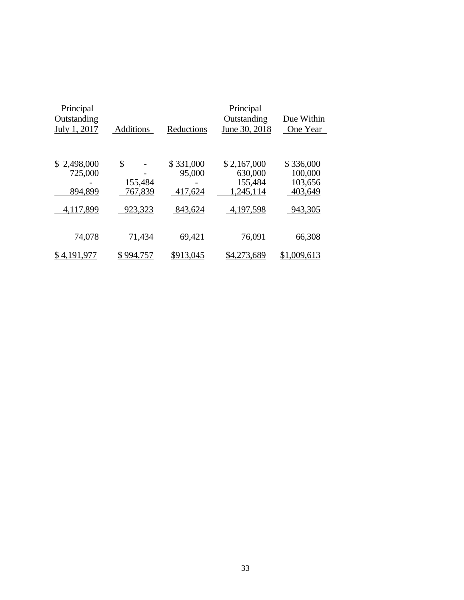| Principal<br>Outstanding<br>July 1, 2017        | <b>Additions</b>             | Reductions                     | Principal<br>Outstanding<br>June 30, 2018      | Due Within<br>One Year                     |
|-------------------------------------------------|------------------------------|--------------------------------|------------------------------------------------|--------------------------------------------|
| 2,498,000<br>$\mathbb{S}$<br>725,000<br>894,899 | \$<br>155,484<br>767,839     | \$331,000<br>95,000<br>417,624 | \$2,167,000<br>630,000<br>155,484<br>1,245,114 | \$336,000<br>100,000<br>103,656<br>403,649 |
| 4,117,899<br>74,078<br>\$4,191,977              | 923,323<br>71,434<br>994,757 | 843,624<br>69,421<br>\$913,045 | 4,197,598<br>76,091<br>\$4,273,689             | 943,305<br>66,308<br>\$1,009,613           |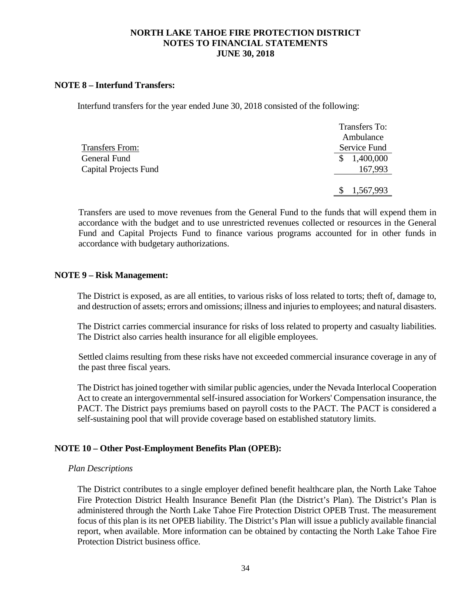### **NOTE 8 – Interfund Transfers:**

Interfund transfers for the year ended June 30, 2018 consisted of the following:

|                       | <b>Transfers To:</b> |
|-----------------------|----------------------|
|                       | Ambulance            |
| Transfers From:       | Service Fund         |
| General Fund          | 1,400,000            |
| Capital Projects Fund | 167,993              |
|                       |                      |
|                       | 1,567,993            |
|                       |                      |

Transfers are used to move revenues from the General Fund to the funds that will expend them in accordance with the budget and to use unrestricted revenues collected or resources in the General Fund and Capital Projects Fund to finance various programs accounted for in other funds in accordance with budgetary authorizations.

#### **NOTE 9 – Risk Management:**

The District is exposed, as are all entities, to various risks of loss related to torts; theft of, damage to, and destruction of assets; errors and omissions; illness and injuries to employees; and natural disasters.

The District carries commercial insurance for risks of loss related to property and casualty liabilities. The District also carries health insurance for all eligible employees.

Settled claims resulting from these risks have not exceeded commercial insurance coverage in any of the past three fiscal years.

The District has joined together with similar public agencies, under the Nevada Interlocal Cooperation Act to create an intergovernmental self-insured association for Workers' Compensation insurance, the PACT. The District pays premiums based on payroll costs to the PACT. The PACT is considered a self-sustaining pool that will provide coverage based on established statutory limits.

#### **NOTE 10 – Other Post-Employment Benefits Plan (OPEB):**

#### *Plan Descriptions*

The District contributes to a single employer defined benefit healthcare plan, the North Lake Tahoe Fire Protection District Health Insurance Benefit Plan (the District's Plan). The District's Plan is administered through the North Lake Tahoe Fire Protection District OPEB Trust. The measurement focus of this plan is its net OPEB liability. The District's Plan will issue a publicly available financial report, when available. More information can be obtained by contacting the North Lake Tahoe Fire Protection District business office.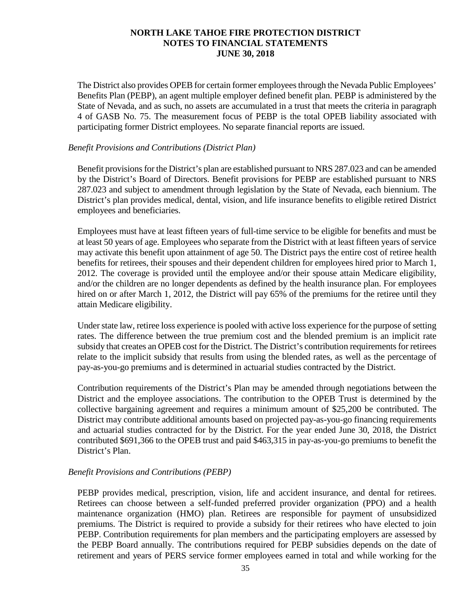The District also provides OPEB for certain former employees through the Nevada Public Employees' Benefits Plan (PEBP), an agent multiple employer defined benefit plan. PEBP is administered by the State of Nevada, and as such, no assets are accumulated in a trust that meets the criteria in paragraph 4 of GASB No. 75. The measurement focus of PEBP is the total OPEB liability associated with participating former District employees. No separate financial reports are issued.

### *Benefit Provisions and Contributions (District Plan)*

Benefit provisions for the District's plan are established pursuant to NRS 287.023 and can be amended by the District's Board of Directors. Benefit provisions for PEBP are established pursuant to NRS 287.023 and subject to amendment through legislation by the State of Nevada, each biennium. The District's plan provides medical, dental, vision, and life insurance benefits to eligible retired District employees and beneficiaries.

Employees must have at least fifteen years of full-time service to be eligible for benefits and must be at least 50 years of age. Employees who separate from the District with at least fifteen years of service may activate this benefit upon attainment of age 50. The District pays the entire cost of retiree health benefits for retirees, their spouses and their dependent children for employees hired prior to March 1, 2012. The coverage is provided until the employee and/or their spouse attain Medicare eligibility, and/or the children are no longer dependents as defined by the health insurance plan. For employees hired on or after March 1, 2012, the District will pay 65% of the premiums for the retiree until they attain Medicare eligibility.

Under state law, retiree loss experience is pooled with active loss experience for the purpose of setting rates. The difference between the true premium cost and the blended premium is an implicit rate subsidy that creates an OPEB cost for the District. The District's contribution requirements for retirees relate to the implicit subsidy that results from using the blended rates, as well as the percentage of pay-as-you-go premiums and is determined in actuarial studies contracted by the District.

Contribution requirements of the District's Plan may be amended through negotiations between the District and the employee associations. The contribution to the OPEB Trust is determined by the collective bargaining agreement and requires a minimum amount of \$25,200 be contributed. The District may contribute additional amounts based on projected pay-as-you-go financing requirements and actuarial studies contracted for by the District. For the year ended June 30, 2018, the District contributed \$691,366 to the OPEB trust and paid \$463,315 in pay-as-you-go premiums to benefit the District's Plan.

### *Benefit Provisions and Contributions (PEBP)*

PEBP provides medical, prescription, vision, life and accident insurance, and dental for retirees. Retirees can choose between a self-funded preferred provider organization (PPO) and a health maintenance organization (HMO) plan. Retirees are responsible for payment of unsubsidized premiums. The District is required to provide a subsidy for their retirees who have elected to join PEBP. Contribution requirements for plan members and the participating employers are assessed by the PEBP Board annually. The contributions required for PEBP subsidies depends on the date of retirement and years of PERS service former employees earned in total and while working for the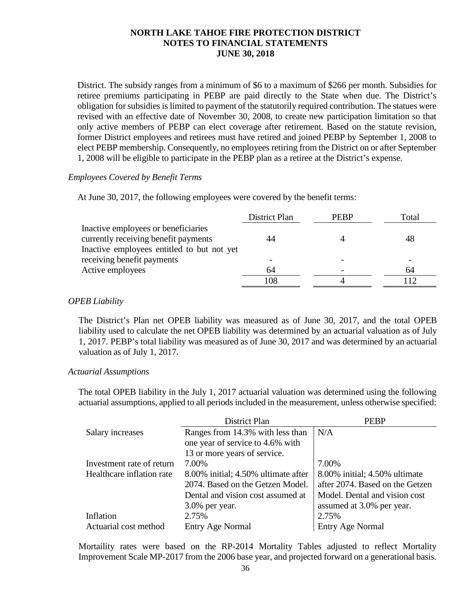District. The subsidy ranges from a minimum of \$6 to a maximum of \$266 per month. Subsidies for retiree premiums participating in PEBP are paid directly to the State when due. The District's obligation for subsidies is limited to payment of the statutorily required contribution. The statues were revised with an effective date of November 30, 2008, to create new participation limitation so that only active members of PEBP can elect coverage after retirement. Based on the statute revision, former District employees and retirees must have retired and joined PEBP by September 1, 2008 to elect PEBP membership. Consequently, no employees retiring from the District on or after September 1, 2008 will be eligible to participate in the PEBP plan as a retiree at the District's expense.

### *Employees Covered by Benefit Terms*

At June 30, 2017, the following employees were covered by the benefit terms:

|                                            | District Plan | <b>PERP</b> | Total |
|--------------------------------------------|---------------|-------------|-------|
| Inactive employees or beneficiaries        |               |             |       |
| currently receiving benefit payments       | 44            |             | 48    |
| Inactive employees entitled to but not yet |               |             |       |
| receiving benefit payments                 |               |             |       |
| Active employees                           | 64            |             | 64    |
|                                            | 108           |             |       |

## *OPEB Liability*

The District's Plan net OPEB liability was measured as of June 30, 2017, and the total OPEB liability used to calculate the net OPEB liability was determined by an actuarial valuation as of July 1, 2017. PEBP's total liability was measured as of June 30, 2017 and was determined by an actuarial valuation as of July 1, 2017.

### *Actuarial Assumptions*

The total OPEB liability in the July 1, 2017 actuarial valuation was determined using the following actuarial assumptions, applied to all periods included in the measurement, unless otherwise specified:

|                           | District Plan                       | <b>PEBP</b>                     |
|---------------------------|-------------------------------------|---------------------------------|
| Salary increases          | Ranges from 14.3% with less than    | N/A                             |
|                           | one year of service to 4.6% with    |                                 |
|                           | 13 or more years of service.        |                                 |
| Investment rate of return | 7.00%                               | 7.00%                           |
| Healthcare inflation rate | 8.00% initial; 4.50% ultimate after | 8.00% initial; 4.50% ultimate   |
|                           | 2074. Based on the Getzen Model.    | after 2074. Based on the Getzen |
|                           | Dental and vision cost assumed at   | Model. Dental and vision cost   |
|                           | $3.0\%$ per year.                   | assumed at 3.0% per year.       |
| Inflation                 | 2.75%                               | 2.75%                           |
| Actuarial cost method     | <b>Entry Age Normal</b>             | <b>Entry Age Normal</b>         |

Mortaility rates were based on the RP-2014 Mortality Tables adjusted to reflect Mortality Improvement Scale MP-2017 from the 2006 base year, and projected forward on a generational basis.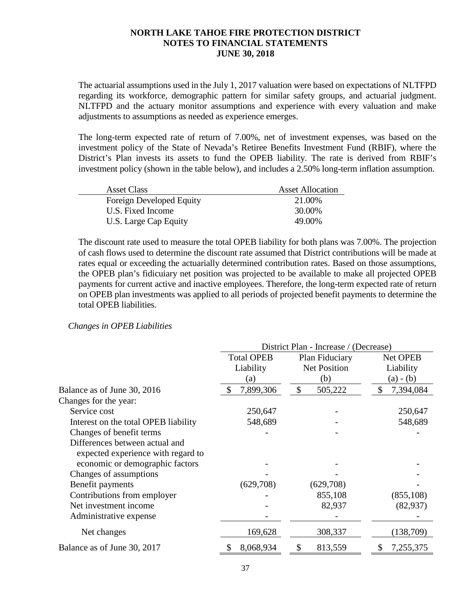The actuarial assumptions used in the July 1, 2017 valuation were based on expectations of NLTFPD regarding its workforce, demographic pattern for similar safety groups, and actuarial judgment. NLTFPD and the actuary monitor assumptions and experience with every valuation and make adjustments to assumptions as needed as experience emerges.

The long-term expected rate of return of 7.00%, net of investment expenses, was based on the investment policy of the State of Nevada's Retiree Benefits Investment Fund (RBIF), where the District's Plan invests its assets to fund the OPEB liability. The rate is derived from RBIF's investment policy (shown in the table below), and includes a 2.50% long-term inflation assumption.

| <b>Asset Class</b>       | <b>Asset Allocation</b> |
|--------------------------|-------------------------|
| Foreign Developed Equity | 21.00%                  |
| U.S. Fixed Income        | 30.00%                  |
| U.S. Large Cap Equity    | 49.00%                  |

The discount rate used to measure the total OPEB liability for both plans was 7.00%. The projection of cash flows used to determine the discount rate assumed that District contributions will be made at rates equal or exceeding the actuarially determined contribution rates. Based on those assumptions, the OPEB plan's fidicuiary net position was projected to be available to make all projected OPEB payments for current active and inactive employees. Therefore, the long-term expected rate of return on OPEB plan investments was applied to all periods of projected benefit payments to determine the total OPEB liabilities.

#### *Changes in OPEB Liabilities*

|                                                                      | District Plan - Increase / (Decrease) |                     |                 |  |
|----------------------------------------------------------------------|---------------------------------------|---------------------|-----------------|--|
|                                                                      | <b>Total OPEB</b>                     | Plan Fiduciary      | Net OPEB        |  |
|                                                                      | Liability                             | <b>Net Position</b> | Liability       |  |
|                                                                      | (a)                                   | (b)                 | (a) - (b)       |  |
| Balance as of June 30, 2016                                          | 7,899,306<br>S                        | \$<br>505,222       | \$<br>7,394,084 |  |
| Changes for the year:                                                |                                       |                     |                 |  |
| Service cost                                                         | 250,647                               |                     | 250,647         |  |
| Interest on the total OPEB liability                                 | 548,689                               |                     | 548,689         |  |
| Changes of benefit terms                                             |                                       |                     |                 |  |
| Differences between actual and<br>expected experience with regard to |                                       |                     |                 |  |
| economic or demographic factors                                      |                                       |                     |                 |  |
| Changes of assumptions                                               |                                       |                     |                 |  |
| Benefit payments                                                     | (629,708)                             | (629,708)           |                 |  |
| Contributions from employer                                          |                                       | 855,108             | (855, 108)      |  |
| Net investment income                                                |                                       | 82,937              | (82, 937)       |  |
| Administrative expense                                               |                                       |                     |                 |  |
| Net changes                                                          | 169,628                               | 308,337             | (138,709)       |  |
| Balance as of June 30, 2017                                          | 8,068,934                             | 813,559<br>\$       | 7,255,375<br>S  |  |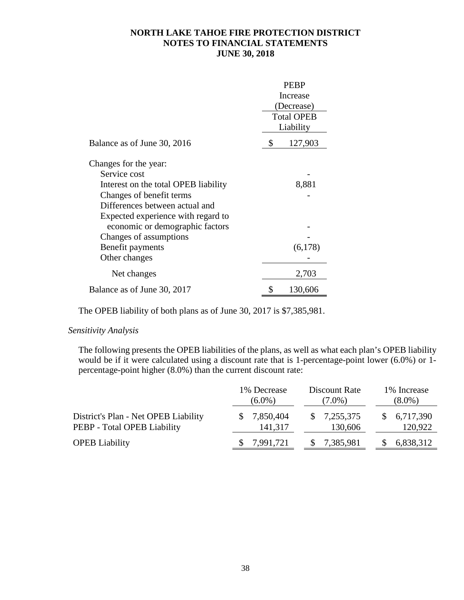|                                      | <b>PEBP</b> |                   |
|--------------------------------------|-------------|-------------------|
|                                      | Increase    |                   |
|                                      |             | (Decrease)        |
|                                      |             | <b>Total OPEB</b> |
|                                      |             | Liability         |
| Balance as of June 30, 2016          | \$          | 127,903           |
| Changes for the year:                |             |                   |
| Service cost                         |             |                   |
| Interest on the total OPEB liability |             | 8,881             |
| Changes of benefit terms             |             |                   |
| Differences between actual and       |             |                   |
| Expected experience with regard to   |             |                   |
| economic or demographic factors      |             |                   |
| Changes of assumptions               |             |                   |
| Benefit payments                     |             | (6,178)           |
| Other changes                        |             |                   |
| Net changes                          |             | 2,703             |
| Balance as of June 30, 2017          |             | 130,606           |

The OPEB liability of both plans as of June 30, 2017 is \$7,385,981.

## *Sensitivity Analysis*

The following presents the OPEB liabilities of the plans, as well as what each plan's OPEB liability would be if it were calculated using a discount rate that is 1-percentage-point lower (6.0%) or 1percentage-point higher (8.0%) than the current discount rate:

|                                      | 1% Decrease | Discount Rate           | 1% Increase |
|--------------------------------------|-------------|-------------------------|-------------|
|                                      | $(6.0\%)$   | $(7.0\%)$               | $(8.0\%)$   |
| District's Plan - Net OPEB Liability | 7,850,404   | $\frac{$}{2}$ 7,255,375 | 6,717,390   |
| PEBP - Total OPEB Liability          | 141,317     | 130,606                 | 120,922     |
| <b>OPEB</b> Liability                | 7,991,721   | 7,385,981               | 6,838,312   |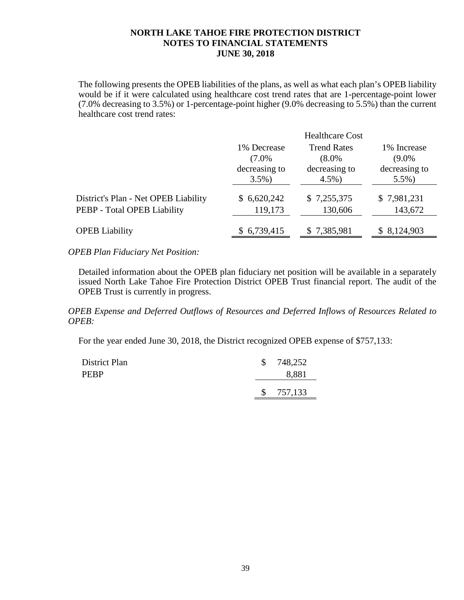The following presents the OPEB liabilities of the plans, as well as what each plan's OPEB liability would be if it were calculated using healthcare cost trend rates that are 1-percentage-point lower (7.0% decreasing to 3.5%) or 1-percentage-point higher (9.0% decreasing to 5.5%) than the current healthcare cost trend rates:

|                            | <b>Healthcare Cost</b>     |                            |
|----------------------------|----------------------------|----------------------------|
| 1% Decrease                | <b>Trend Rates</b>         | 1% Increase                |
| $(7.0\%$                   | $(8.0\%$                   | $(9.0\%$                   |
| decreasing to<br>$3.5\%$ ) | decreasing to<br>$4.5\%$ ) | decreasing to<br>$5.5\%$ ) |
| \$6,620,242                | \$7,255,375                | \$7,981,231                |
| 119,173                    | 130,606                    | 143,672                    |
| \$6,739,415                | \$7,385,981                | \$8,124,903                |
|                            |                            |                            |

*OPEB Plan Fiduciary Net Position:*

Detailed information about the OPEB plan fiduciary net position will be available in a separately issued North Lake Tahoe Fire Protection District OPEB Trust financial report. The audit of the OPEB Trust is currently in progress.

*OPEB Expense and Deferred Outflows of Resources and Deferred Inflows of Resources Related to OPEB:*

For the year ended June 30, 2018, the District recognized OPEB expense of \$757,133:

| District Plan | \$748,252 |
|---------------|-----------|
| PEBP          | 8,881     |
|               | \$757,133 |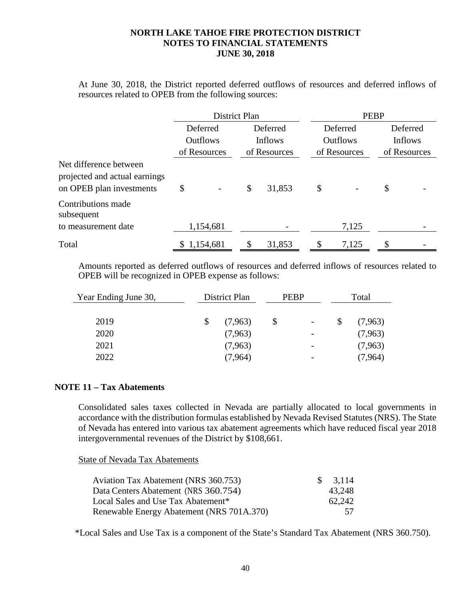At June 30, 2018, the District reported deferred outflows of resources and deferred inflows of resources related to OPEB from the following sources:

|                                                                                     | <b>District Plan</b> |              | <b>PEBP</b>     |                |
|-------------------------------------------------------------------------------------|----------------------|--------------|-----------------|----------------|
|                                                                                     | Deferred             | Deferred     | Deferred        | Deferred       |
|                                                                                     | <b>Outflows</b>      | Inflows      | <b>Outflows</b> | <b>Inflows</b> |
|                                                                                     | of Resources         | of Resources | of Resources    | of Resources   |
| Net difference between<br>projected and actual earnings<br>on OPEB plan investments | \$                   | \$<br>31,853 | \$              | \$             |
| Contributions made<br>subsequent                                                    |                      |              |                 |                |
| to measurement date                                                                 | 1,154,681            |              | 7,125           |                |
| Total                                                                               | \$1,154,681          | \$<br>31,853 | \$<br>7,125     | \$             |

Amounts reported as deferred outflows of resources and deferred inflows of resources related to OPEB will be recognized in OPEB expense as follows:

| Year Ending June 30, | District Plan | <b>PEBP</b> |                          | Total   |  |
|----------------------|---------------|-------------|--------------------------|---------|--|
|                      |               |             |                          |         |  |
| 2019                 | (7,963)       |             | $\overline{\phantom{a}}$ | (7,963) |  |
| 2020                 | (7,963)       |             | -                        | (7,963) |  |
| 2021                 | (7,963)       |             | $\overline{\phantom{a}}$ | (7,963) |  |
| 2022                 | (7,964)       |             | $\overline{\phantom{a}}$ | (7,964) |  |

### **NOTE 11 – Tax Abatements**

Consolidated sales taxes collected in Nevada are partially allocated to local governments in accordance with the distribution formulas established by Nevada Revised Statutes (NRS). The State of Nevada has entered into various tax abatement agreements which have reduced fiscal year 2018 intergovernmental revenues of the District by \$108,661.

State of Nevada Tax Abatements

| Aviation Tax Abatement (NRS 360.753)      | SS. | 3.114  |
|-------------------------------------------|-----|--------|
| Data Centers Abatement (NRS 360.754)      |     | 43,248 |
| Local Sales and Use Tax Abatement*        |     | 62,242 |
| Renewable Energy Abatement (NRS 701A.370) |     | 57.    |

\*Local Sales and Use Tax is a component of the State's Standard Tax Abatement (NRS 360.750).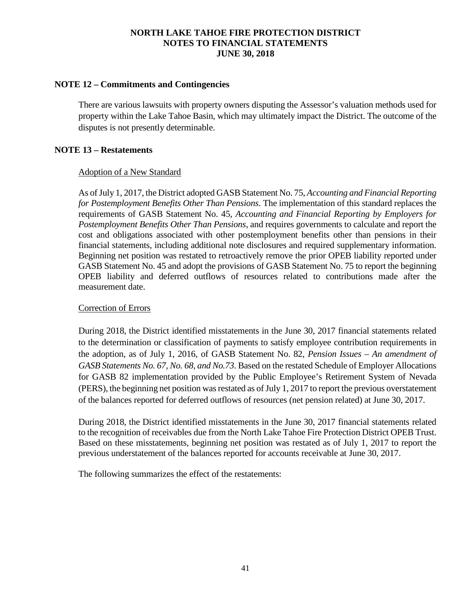#### **NOTE 12 – Commitments and Contingencies**

There are various lawsuits with property owners disputing the Assessor's valuation methods used for property within the Lake Tahoe Basin, which may ultimately impact the District. The outcome of the disputes is not presently determinable.

### **NOTE 13 – Restatements**

#### Adoption of a New Standard

As of July 1, 2017, the District adopted GASB Statement No. 75, *Accounting and Financial Reporting for Postemployment Benefits Other Than Pensions*. The implementation of this standard replaces the requirements of GASB Statement No. 45, *Accounting and Financial Reporting by Employers for Postemployment Benefits Other Than Pensions*, and requires governments to calculate and report the cost and obligations associated with other postemployment benefits other than pensions in their financial statements, including additional note disclosures and required supplementary information. Beginning net position was restated to retroactively remove the prior OPEB liability reported under GASB Statement No. 45 and adopt the provisions of GASB Statement No. 75 to report the beginning OPEB liability and deferred outflows of resources related to contributions made after the measurement date.

### Correction of Errors

During 2018, the District identified misstatements in the June 30, 2017 financial statements related to the determination or classification of payments to satisfy employee contribution requirements in the adoption, as of July 1, 2016, of GASB Statement No. 82, *Pension Issues – An amendment of GASB Statements No. 67, No. 68, and No.73*. Based on the restated Schedule of Employer Allocations for GASB 82 implementation provided by the Public Employee's Retirement System of Nevada (PERS), the beginning net position was restated as of July 1, 2017 to report the previous overstatement of the balances reported for deferred outflows of resources (net pension related) at June 30, 2017.

During 2018, the District identified misstatements in the June 30, 2017 financial statements related to the recognition of receivables due from the North Lake Tahoe Fire Protection District OPEB Trust. Based on these misstatements, beginning net position was restated as of July 1, 2017 to report the previous understatement of the balances reported for accounts receivable at June 30, 2017.

The following summarizes the effect of the restatements: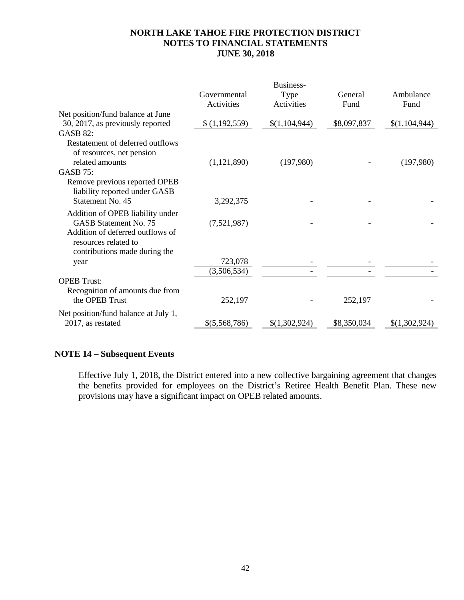|                                      |               | Business-     |             |               |
|--------------------------------------|---------------|---------------|-------------|---------------|
|                                      | Governmental  | Type          | General     | Ambulance     |
|                                      | Activities    | Activities    | Fund        | Fund          |
| Net position/fund balance at June    |               |               |             |               |
| 30, 2017, as previously reported     | \$(1,192,559) | \$(1,104,944) | \$8,097,837 | \$(1,104,944) |
| <b>GASB 82:</b>                      |               |               |             |               |
| Restatement of deferred outflows     |               |               |             |               |
| of resources, net pension            |               |               |             |               |
| related amounts                      | (1,121,890)   | (197,980)     |             | (197,980)     |
| <b>GASB 75:</b>                      |               |               |             |               |
| Remove previous reported OPEB        |               |               |             |               |
| liability reported under GASB        |               |               |             |               |
| Statement No. 45                     | 3,292,375     |               |             |               |
| Addition of OPEB liability under     |               |               |             |               |
| <b>GASB Statement No. 75</b>         | (7,521,987)   |               |             |               |
| Addition of deferred outflows of     |               |               |             |               |
| resources related to                 |               |               |             |               |
| contributions made during the        |               |               |             |               |
| year                                 | 723,078       |               |             |               |
|                                      | (3,506,534)   |               |             |               |
| <b>OPEB</b> Trust:                   |               |               |             |               |
| Recognition of amounts due from      |               |               |             |               |
| the OPEB Trust                       | 252,197       |               | 252,197     |               |
| Net position/fund balance at July 1, |               |               |             |               |
| 2017, as restated                    | \$(5,568,786) | \$(1,302,924) | \$8,350,034 | \$(1,302,924) |
|                                      |               |               |             |               |

# **NOTE 14 – Subsequent Events**

Effective July 1, 2018, the District entered into a new collective bargaining agreement that changes the benefits provided for employees on the District's Retiree Health Benefit Plan. These new provisions may have a significant impact on OPEB related amounts.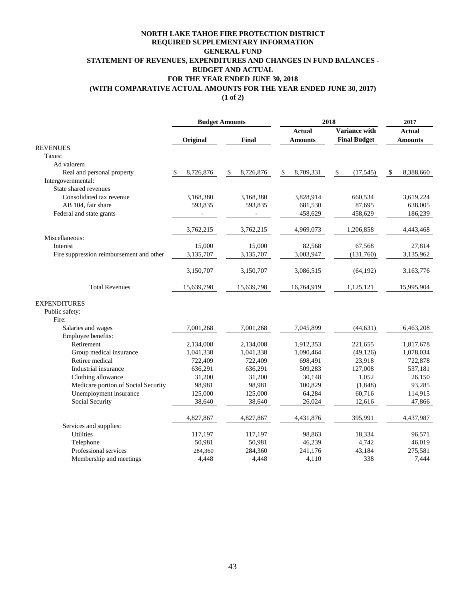#### **NORTH LAKE TAHOE FIRE PROTECTION DISTRICT GENERAL FUND STATEMENT OF REVENUES, EXPENDITURES AND CHANGES IN FUND BALANCES - BUDGET AND ACTUAL FOR THE YEAR ENDED JUNE 30, 2018 REQUIRED SUPPLEMENTARY INFORMATION (WITH COMPARATIVE ACTUAL AMOUNTS FOR THE YEAR ENDED JUNE 30, 2017)**

**(1 of 2)**

|                                          |                 | <b>Budget Amounts</b> | 2018            |                      | 2017            |  |
|------------------------------------------|-----------------|-----------------------|-----------------|----------------------|-----------------|--|
|                                          |                 |                       | Actual          | <b>Variance with</b> | Actual          |  |
|                                          | Original        | <b>Final</b>          | <b>Amounts</b>  | <b>Final Budget</b>  | <b>Amounts</b>  |  |
| <b>REVENUES</b>                          |                 |                       |                 |                      |                 |  |
| Taxes:                                   |                 |                       |                 |                      |                 |  |
| Ad valorem                               |                 |                       |                 |                      |                 |  |
| Real and personal property               | 8,726,876<br>\$ | 8,726,876<br>\$       | \$<br>8,709,331 | \$<br>(17, 545)      | 8,388,660<br>\$ |  |
| Intergovernmental:                       |                 |                       |                 |                      |                 |  |
| State shared revenues                    |                 |                       |                 |                      |                 |  |
| Consolidated tax revenue                 | 3,168,380       | 3,168,380             | 3,828,914       | 660,534              | 3,619,224       |  |
| AB 104, fair share                       | 593,835         | 593,835               | 681,530         | 87,695               | 638,005         |  |
| Federal and state grants                 |                 |                       | 458,629         | 458,629              | 186,239         |  |
|                                          | 3,762,215       | 3,762,215             | 4,969,073       | 1,206,858            | 4,443,468       |  |
| Miscellaneous:                           |                 |                       |                 |                      |                 |  |
| Interest                                 | 15,000          | 15,000                | 82,568          | 67,568               | 27,814          |  |
| Fire suppression reimbursement and other | 3,135,707       | 3,135,707             | 3,003,947       | (131,760)            | 3,135,962       |  |
|                                          | 3,150,707       | 3,150,707             | 3,086,515       | (64, 192)            | 3,163,776       |  |
| <b>Total Revenues</b>                    | 15,639,798      | 15,639,798            | 16,764,919      | 1,125,121            | 15,995,904      |  |
| <b>EXPENDITURES</b>                      |                 |                       |                 |                      |                 |  |
| Public safety:                           |                 |                       |                 |                      |                 |  |
| Fire:                                    |                 |                       |                 |                      |                 |  |
| Salaries and wages                       | 7,001,268       | 7,001,268             | 7,045,899       | (44, 631)            | 6,463,208       |  |
| Employee benefits:                       |                 |                       |                 |                      |                 |  |
| Retirement                               | 2,134,008       | 2,134,008             | 1,912,353       | 221,655              | 1,817,678       |  |
| Group medical insurance                  | 1,041,338       | 1,041,338             | 1,090,464       | (49, 126)            | 1,078,034       |  |
| Retiree medical                          | 722,409         | 722,409               | 698,491         | 23,918               | 722,878         |  |
| Industrial insurance                     | 636,291         | 636,291               | 509,283         | 127,008              | 537,181         |  |
| Clothing allowance                       | 31,200          | 31,200                | 30,148          | 1,052                | 26,150          |  |
| Medicare portion of Social Security      | 98,981          | 98,981                | 100,829         | (1,848)              | 93,285          |  |
| Unemployment insurance                   | 125,000         | 125,000               | 64,284          | 60,716               | 114,915         |  |
| Social Security                          | 38,640          | 38,640                | 26,024          | 12,616               | 47,866          |  |
|                                          | 4,827,867       | 4,827,867             | 4,431,876       | 395,991              | 4,437,987       |  |
| Services and supplies:                   |                 |                       |                 |                      |                 |  |
| <b>Utilities</b>                         | 117,197         | 117,197               | 98,863          | 18,334               | 96,571          |  |
| Telephone                                | 50,981          | 50,981                | 46,239          | 4,742                | 46,019          |  |
| Professional services                    | 284,360         | 284,360               | 241,176         | 43,184               | 275,581         |  |
| Membership and meetings                  | 4,448           | 4,448                 | 4,110           | 338                  | 7,444           |  |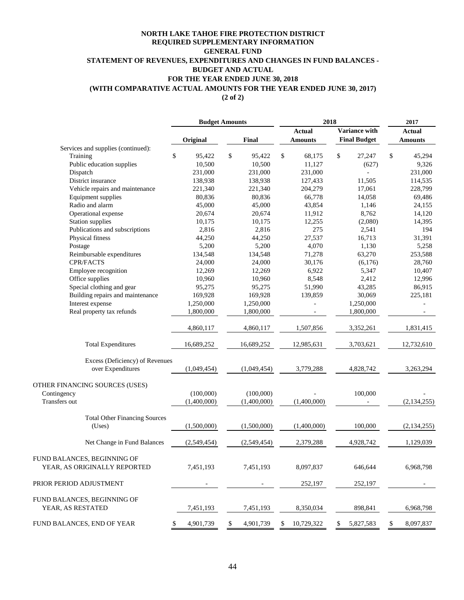#### **(2 of 2) NORTH LAKE TAHOE FIRE PROTECTION DISTRICT GENERAL FUND STATEMENT OF REVENUES, EXPENDITURES AND CHANGES IN FUND BALANCES - BUDGET AND ACTUAL FOR THE YEAR ENDED JUNE 30, 2018 (WITH COMPARATIVE ACTUAL AMOUNTS FOR THE YEAR ENDED JUNE 30, 2017) REQUIRED SUPPLEMENTARY INFORMATION**

|                                      |                 | <b>Budget Amounts</b> | 2018             |                      | 2017            |  |
|--------------------------------------|-----------------|-----------------------|------------------|----------------------|-----------------|--|
|                                      |                 |                       | <b>Actual</b>    | <b>Variance with</b> | Actual          |  |
|                                      | Original        | Final                 | <b>Amounts</b>   | <b>Final Budget</b>  | <b>Amounts</b>  |  |
| Services and supplies (continued):   |                 |                       |                  |                      |                 |  |
| Training                             | \$<br>95,422    | \$<br>95,422          | \$<br>68,175     | \$<br>27,247         | \$<br>45,294    |  |
| Public education supplies            | 10,500          | 10,500                | 11.127           | (627)                | 9,326           |  |
| Dispatch                             | 231,000         | 231,000               | 231,000          |                      | 231,000         |  |
| District insurance                   | 138,938         | 138,938               | 127,433          | 11,505               | 114,535         |  |
| Vehicle repairs and maintenance      | 221,340         | 221,340               | 204,279          | 17,061               | 228,799         |  |
| Equipment supplies                   | 80,836          | 80,836                | 66,778           | 14,058               | 69,486          |  |
| Radio and alarm                      | 45,000          | 45,000                | 43,854           | 1,146                | 24,155          |  |
| Operational expense                  | 20,674          | 20,674                | 11,912           | 8,762                | 14,120          |  |
| <b>Station supplies</b>              | 10,175          | 10,175                | 12,255           | (2,080)              | 14,395          |  |
| Publications and subscriptions       | 2,816           | 2,816                 | 275              | 2,541                | 194             |  |
| Physical fitness                     | 44,250          | 44,250                | 27,537           | 16,713               | 31,391          |  |
| Postage                              | 5,200           | 5,200                 | 4,070            | 1,130                | 5,258           |  |
| Reimbursable expenditures            | 134,548         | 134,548               | 71,278           | 63,270               | 253,588         |  |
| CPR/FACTS                            | 24,000          | 24,000                | 30,176           | (6,176)              | 28,760          |  |
| Employee recognition                 | 12,269          | 12,269                | 6,922            | 5,347                | 10,407          |  |
| Office supplies                      | 10,960          | 10,960                | 8,548            | 2,412                | 12,996          |  |
| Special clothing and gear            | 95,275          | 95,275                | 51,990           | 43,285               | 86,915          |  |
| Building repairs and maintenance     | 169,928         | 169,928               | 139,859          | 30,069               | 225,181         |  |
| Interest expense                     | 1,250,000       | 1,250,000             |                  | 1,250,000            |                 |  |
| Real property tax refunds            | 1,800,000       | 1,800,000             |                  | 1,800,000            | $\blacksquare$  |  |
|                                      |                 |                       |                  |                      |                 |  |
|                                      | 4,860,117       | 4,860,117             | 1,507,856        | 3,352,261            | 1,831,415       |  |
| <b>Total Expenditures</b>            | 16,689,252      | 16,689,252            | 12,985,631       | 3,703,621            | 12,732,610      |  |
| Excess (Deficiency) of Revenues      |                 |                       |                  |                      |                 |  |
| over Expenditures                    | (1,049,454)     | (1,049,454)           | 3,779,288        | 4,828,742            | 3,263,294       |  |
| OTHER FINANCING SOURCES (USES)       |                 |                       |                  |                      |                 |  |
| Contingency                          | (100,000)       | (100,000)             |                  | 100,000              |                 |  |
| <b>Transfers</b> out                 | (1,400,000)     | (1,400,000)           | (1,400,000)      |                      | (2, 134, 255)   |  |
|                                      |                 |                       |                  |                      |                 |  |
| <b>Total Other Financing Sources</b> |                 |                       |                  |                      |                 |  |
| (Uses)                               | (1,500,000)     | (1,500,000)           | (1,400,000)      | 100,000              | (2,134,255)     |  |
| Net Change in Fund Balances          | (2,549,454)     | (2,549,454)           | 2,379,288        | 4,928,742            | 1,129,039       |  |
| FUND BALANCES, BEGINNING OF          |                 |                       |                  |                      |                 |  |
| YEAR, AS ORIGINALLY REPORTED         | 7,451,193       | 7,451,193             | 8,097,837        | 646,644              | 6,968,798       |  |
| PRIOR PERIOD ADJUSTMENT              |                 |                       | 252,197          | 252,197              |                 |  |
|                                      |                 |                       |                  |                      |                 |  |
| FUND BALANCES, BEGINNING OF          |                 |                       |                  |                      |                 |  |
| YEAR, AS RESTATED                    | 7,451,193       | 7,451,193             | 8,350,034        | 898,841              | 6,968,798       |  |
| FUND BALANCES, END OF YEAR           | 4,901,739<br>\$ | \$<br>4,901,739       | 10,729,322<br>\$ | 5,827,583<br>\$      | \$<br>8,097,837 |  |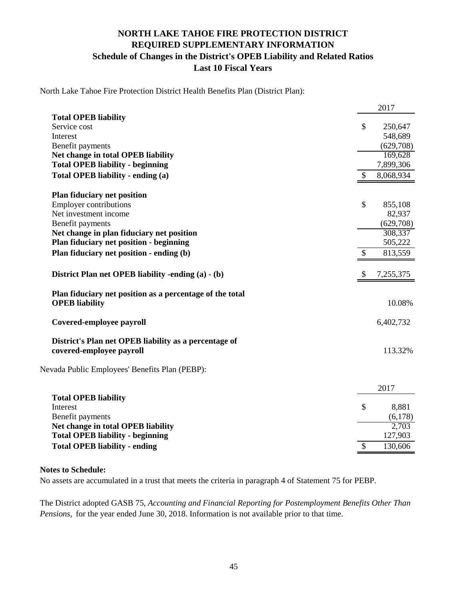# **NORTH LAKE TAHOE FIRE PROTECTION DISTRICT REQUIRED SUPPLEMENTARY INFORMATION Schedule of Changes in the District's OPEB Liability and Related Ratios Last 10 Fiscal Years**

North Lake Tahoe Fire Protection District Health Benefits Plan (District Plan):

|                                                          |               | 2017      |
|----------------------------------------------------------|---------------|-----------|
| <b>Total OPEB liability</b>                              |               |           |
| Service cost                                             | \$            | 250,647   |
| Interest                                                 |               | 548,689   |
| Benefit payments                                         |               | (629,708) |
| Net change in total OPEB liability                       |               | 169,628   |
| <b>Total OPEB liability - beginning</b>                  |               | 7,899,306 |
| Total OPEB liability - ending (a)                        | \$            | 8,068,934 |
| <b>Plan fiduciary net position</b>                       |               |           |
| <b>Employer contributions</b>                            | \$            | 855,108   |
| Net investment income                                    |               | 82,937    |
| Benefit payments                                         |               | (629,708) |
| Net change in plan fiduciary net position                |               | 308,337   |
| Plan fiduciary net position - beginning                  |               | 505,222   |
| Plan fiduciary net position - ending (b)                 | \$            | 813,559   |
| District Plan net OPEB liability -ending (a) - (b)       | S             | 7,255,375 |
| Plan fiduciary net position as a percentage of the total |               |           |
| <b>OPEB</b> liability                                    |               | 10.08%    |
| Covered-employee payroll                                 |               | 6,402,732 |
| District's Plan net OPEB liability as a percentage of    |               |           |
| covered-employee payroll                                 |               | 113.32%   |
| Nevada Public Employees' Benefits Plan (PEBP):           |               |           |
|                                                          |               | 2017      |
| <b>Total OPEB liability</b>                              |               |           |
| Interest                                                 | $\mathcal{S}$ | 8,881     |
| Benefit payments                                         |               | (6,178)   |
| Net change in total OPEB liability                       |               | 2,703     |
| <b>Total OPEB liability - beginning</b>                  |               | 127,903   |
| <b>Total OPEB liability - ending</b>                     | \$            | 130,606   |

#### **Notes to Schedule:**

No assets are accumulated in a trust that meets the criteria in paragraph 4 of Statement 75 for PEBP.

The District adopted GASB 75, *Accounting and Financial Reporting for Postemployment Benefits Other Than Pensions,* for the year ended June 30, 2018. Information is not available prior to that time.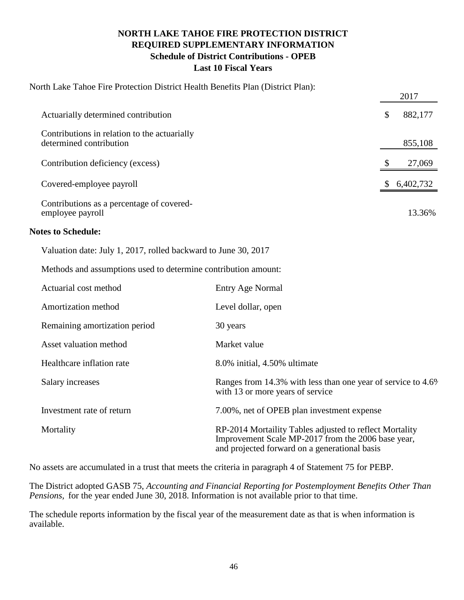# **NORTH LAKE TAHOE FIRE PROTECTION DISTRICT REQUIRED SUPPLEMENTARY INFORMATION Schedule of District Contributions - OPEB Last 10 Fiscal Years**

| North Lake Tahoe Fire Protection District Health Benefits Plan (District Plan): |    |             |
|---------------------------------------------------------------------------------|----|-------------|
|                                                                                 |    | 2017        |
| Actuarially determined contribution                                             | \$ | 882,177     |
| Contributions in relation to the actuarially<br>determined contribution         |    | 855,108     |
| Contribution deficiency (excess)                                                |    | 27,069      |
| Covered-employee payroll                                                        |    | \$6,402,732 |
| Contributions as a percentage of covered-<br>employee payroll                   |    | 13.36%      |

## **Notes to Schedule:**

Valuation date: July 1, 2017, rolled backward to June 30, 2017

Methods and assumptions used to determine contribution amount:

| Actuarial cost method         | <b>Entry Age Normal</b>                                                                                                                                        |
|-------------------------------|----------------------------------------------------------------------------------------------------------------------------------------------------------------|
| Amortization method           | Level dollar, open                                                                                                                                             |
| Remaining amortization period | 30 years                                                                                                                                                       |
| Asset valuation method        | Market value                                                                                                                                                   |
| Healthcare inflation rate     | 8.0% initial, 4.50% ultimate                                                                                                                                   |
| Salary increases              | Ranges from 14.3% with less than one year of service to 4.6%<br>with 13 or more years of service                                                               |
| Investment rate of return     | 7.00%, net of OPEB plan investment expense                                                                                                                     |
| Mortality                     | RP-2014 Mortaility Tables adjusted to reflect Mortality<br>Improvement Scale MP-2017 from the 2006 base year,<br>and projected forward on a generational basis |

No assets are accumulated in a trust that meets the criteria in paragraph 4 of Statement 75 for PEBP.

The District adopted GASB 75, *Accounting and Financial Reporting for Postemployment Benefits Other Than Pensions,* for the year ended June 30, 2018. Information is not available prior to that time.

The schedule reports information by the fiscal year of the measurement date as that is when information is available.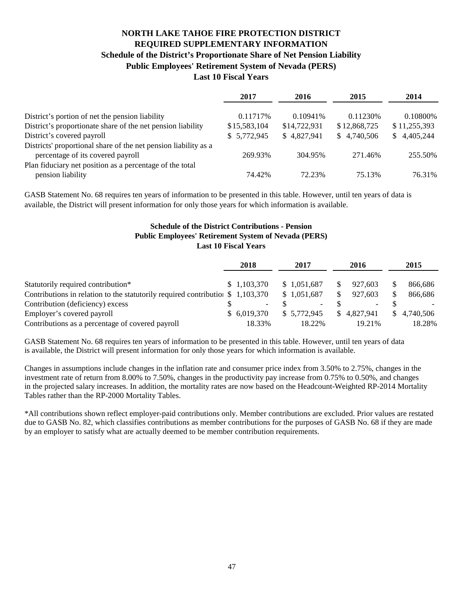## **NORTH LAKE TAHOE FIRE PROTECTION DISTRICT REQUIRED SUPPLEMENTARY INFORMATION Schedule of the District's Proportionate Share of Net Pension Liability Public Employees' Retirement System of Nevada (PERS) Last 10 Fiscal Years**

|                                                                 | 2017         | 2016         | 2015         | 2014            |
|-----------------------------------------------------------------|--------------|--------------|--------------|-----------------|
| District's portion of net the pension liability                 | 0.11717\%    | 0.10941%     | 0.11230\%    | 0.10800\%       |
| District's proportionate share of the net pension liability     | \$15,583,104 | \$14,722,931 | \$12,868,725 | \$11,255,393    |
| District's covered payroll                                      | \$5,772,945  | \$4,827,941  | \$4,740,506  | 4,405,244<br>S. |
| Districts' proportional share of the net pension liability as a |              |              |              |                 |
| percentage of its covered payroll                               | 269.93%      | 304.95%      | 271.46%      | 255.50%         |
| Plan fiduciary net position as a percentage of the total        |              |              |              |                 |
| pension liability                                               | 74.42%       | 72.23%       | 75.13%       | 76.31%          |

GASB Statement No. 68 requires ten years of information to be presented in this table. However, until ten years of data is available, the District will present information for only those years for which information is available.

#### **Public Employees' Retirement System of Nevada (PERS) Last 10 Fiscal Years Schedule of the District Contributions - Pension**

|                                                                                 | 2018        | 2017                     | 2016                     | 2015        |
|---------------------------------------------------------------------------------|-------------|--------------------------|--------------------------|-------------|
| Statutorily required contribution*                                              | \$1,103,370 | \$1.051.687              | 927.603                  | 866,686     |
| Contributions in relation to the statutorily required contribution $$1,103,370$ |             | \$1,051,687              | 927.603                  | 866,686     |
| Contribution (deficiency) excess                                                | $\sim$      | $\overline{\phantom{a}}$ | $\overline{\phantom{0}}$ |             |
| Employer's covered payroll                                                      | \$6.019.370 | \$ 5,772,945             | \$4.827.941              | \$4.740.506 |
| Contributions as a percentage of covered payroll                                | 18.33%      | 18.22%                   | 19.21%                   | 18.28%      |

GASB Statement No. 68 requires ten years of information to be presented in this table. However, until ten years of data is available, the District will present information for only those years for which information is available.

Changes in assumptions include changes in the inflation rate and consumer price index from 3.50% to 2.75%, changes in the investment rate of return from 8.00% to 7.50%, changes in the productivity pay increase from 0.75% to 0.50%, and changes in the projected salary increases. In addition, the mortality rates are now based on the Headcount-Weighted RP-2014 Mortality Tables rather than the RP-2000 Mortality Tables.

\*All contributions shown reflect employer-paid contributions only. Member contributions are excluded. Prior values are restated due to GASB No. 82, which classifies contributions as member contributions for the purposes of GASB No. 68 if they are made by an employer to satisfy what are actually deemed to be member contribution requirements.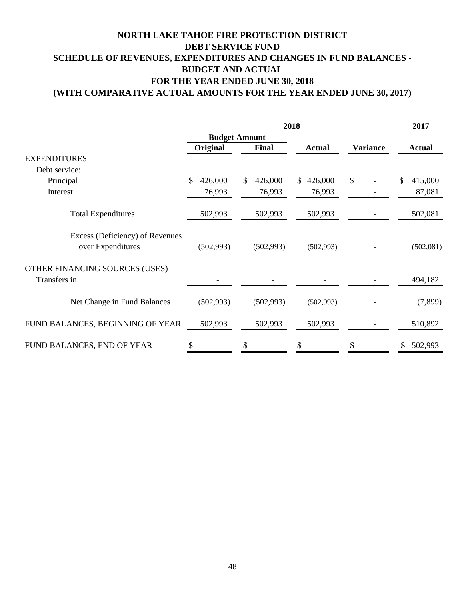# **NORTH LAKE TAHOE FIRE PROTECTION DISTRICT DEBT SERVICE FUND SCHEDULE OF REVENUES, EXPENDITURES AND CHANGES IN FUND BALANCES - BUDGET AND ACTUAL FOR THE YEAR ENDED JUNE 30, 2018 (WITH COMPARATIVE ACTUAL AMOUNTS FOR THE YEAR ENDED JUNE 30, 2017)**

|                                                      |               |                         | 2017                    |                 |                |
|------------------------------------------------------|---------------|-------------------------|-------------------------|-----------------|----------------|
|                                                      |               | <b>Budget Amount</b>    |                         |                 |                |
|                                                      | Original      | Final                   | <b>Actual</b>           | <b>Variance</b> | <b>Actual</b>  |
| <b>EXPENDITURES</b>                                  |               |                         |                         |                 |                |
| Debt service:                                        |               |                         |                         |                 |                |
| Principal                                            | 426,000<br>\$ | $\mathbb{S}$<br>426,000 | 426,000<br>$\mathbb{S}$ | $\mathcal{S}$   | 415,000<br>\$. |
| Interest                                             | 76,993        | 76,993                  | 76,993                  |                 | 87,081         |
| <b>Total Expenditures</b>                            | 502,993       | 502,993                 | 502,993                 |                 | 502,081        |
| Excess (Deficiency) of Revenues<br>over Expenditures | (502,993)     | (502, 993)              | (502, 993)              |                 | (502,081)      |
| OTHER FINANCING SOURCES (USES)<br>Transfers in       |               |                         |                         |                 | 494,182        |
| Net Change in Fund Balances                          | (502, 993)    | (502, 993)              | (502, 993)              |                 | (7,899)        |
| FUND BALANCES, BEGINNING OF YEAR                     | 502,993       | 502,993                 | 502,993                 |                 | 510,892        |
| FUND BALANCES, END OF YEAR                           |               | S                       |                         |                 | 502,993        |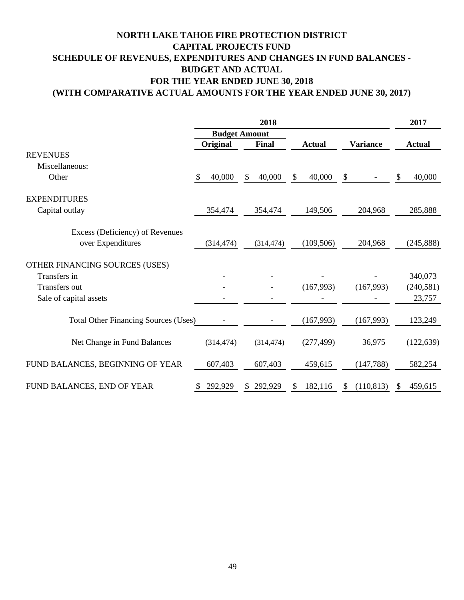# **NORTH LAKE TAHOE FIRE PROTECTION DISTRICT CAPITAL PROJECTS FUND SCHEDULE OF REVENUES, EXPENDITURES AND CHANGES IN FUND BALANCES - BUDGET AND ACTUAL FOR THE YEAR ENDED JUNE 30, 2018 (WITH COMPARATIVE ACTUAL AMOUNTS FOR THE YEAR ENDED JUNE 30, 2017)**

|                                             | 2018         |                      |               |                   | 2017          |
|---------------------------------------------|--------------|----------------------|---------------|-------------------|---------------|
|                                             |              | <b>Budget Amount</b> |               |                   |               |
|                                             | Original     | Final                | <b>Actual</b> | <b>Variance</b>   | <b>Actual</b> |
| <b>REVENUES</b>                             |              |                      |               |                   |               |
| Miscellaneous:                              |              |                      |               |                   |               |
| Other                                       | \$<br>40,000 | 40,000<br>\$         | 40,000<br>\$  | \$                | 40,000<br>\$  |
| <b>EXPENDITURES</b>                         |              |                      |               |                   |               |
| Capital outlay                              | 354,474      | 354,474              | 149,506       | 204,968           | 285,888       |
| Excess (Deficiency) of Revenues             |              |                      |               |                   |               |
| over Expenditures                           | (314, 474)   | (314, 474)           | (109, 506)    | 204,968           | (245, 888)    |
| OTHER FINANCING SOURCES (USES)              |              |                      |               |                   |               |
| Transfers in                                |              |                      |               |                   | 340,073       |
| <b>Transfers out</b>                        |              |                      | (167,993)     | (167,993)         | (240, 581)    |
| Sale of capital assets                      |              |                      |               |                   | 23,757        |
| <b>Total Other Financing Sources (Uses)</b> |              |                      | (167,993)     | (167,993)         | 123,249       |
| Net Change in Fund Balances                 | (314, 474)   | (314, 474)           | (277, 499)    | 36,975            | (122, 639)    |
| FUND BALANCES, BEGINNING OF YEAR            | 607,403      | 607,403              | 459,615       | (147, 788)        | 582,254       |
| FUND BALANCES, END OF YEAR                  | 292,929      | 292,929              | 182,116<br>S  | (110, 813)<br>\$. | 459,615<br>S  |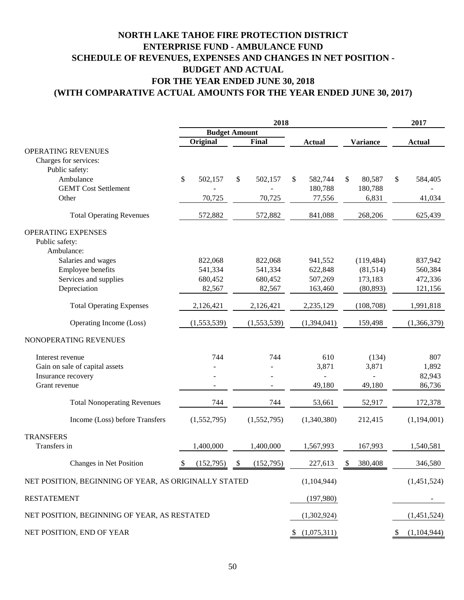# **(WITH COMPARATIVE ACTUAL AMOUNTS FOR THE YEAR ENDED JUNE 30, 2017) NORTH LAKE TAHOE FIRE PROTECTION DISTRICT ENTERPRISE FUND - AMBULANCE FUND SCHEDULE OF REVENUES, EXPENSES AND CHANGES IN NET POSITION - BUDGET AND ACTUAL FOR THE YEAR ENDED JUNE 30, 2018**

|                                                       | 2018                 |                            |               | 2017            |               |
|-------------------------------------------------------|----------------------|----------------------------|---------------|-----------------|---------------|
|                                                       | <b>Budget Amount</b> |                            |               |                 |               |
|                                                       | Original             | Final                      | <b>Actual</b> | <b>Variance</b> | <b>Actual</b> |
| <b>OPERATING REVENUES</b>                             |                      |                            |               |                 |               |
| Charges for services:                                 |                      |                            |               |                 |               |
| Public safety:                                        |                      |                            |               |                 |               |
| Ambulance                                             | \$<br>502,157        | \$<br>502,157              | \$<br>582,744 | \$<br>80,587    | \$<br>584,405 |
| <b>GEMT Cost Settlement</b>                           |                      |                            | 180,788       | 180,788         |               |
| Other                                                 | 70,725               | 70,725                     | 77,556        | 6,831           | 41,034        |
| <b>Total Operating Revenues</b>                       | 572,882              | 572,882                    | 841,088       | 268,206         | 625,439       |
| <b>OPERATING EXPENSES</b>                             |                      |                            |               |                 |               |
| Public safety:                                        |                      |                            |               |                 |               |
| Ambulance:                                            |                      |                            |               |                 |               |
| Salaries and wages                                    | 822,068              | 822,068                    | 941,552       | (119, 484)      | 837,942       |
| Employee benefits                                     | 541,334              | 541,334                    | 622,848       | (81,514)        | 560,384       |
| Services and supplies                                 | 680,452              | 680,452                    | 507,269       | 173,183         | 472,336       |
| Depreciation                                          | 82,567               | 82,567                     | 163,460       | (80, 893)       | 121,156       |
| <b>Total Operating Expenses</b>                       | 2,126,421            | 2,126,421                  | 2,235,129     | (108, 708)      | 1,991,818     |
| Operating Income (Loss)                               | (1,553,539)          | (1,553,539)                | (1,394,041)   | 159,498         | (1,366,379)   |
| NONOPERATING REVENUES                                 |                      |                            |               |                 |               |
| Interest revenue                                      | 744                  | 744                        | 610           | (134)           | 807           |
| Gain on sale of capital assets                        |                      |                            | 3,871         | 3,871           | 1,892         |
| Insurance recovery                                    |                      |                            |               |                 | 82,943        |
| Grant revenue                                         |                      |                            | 49,180        | 49,180          | 86,736        |
| <b>Total Nonoperating Revenues</b>                    | 744                  | 744                        | 53,661        | 52,917          | 172,378       |
| Income (Loss) before Transfers                        | (1,552,795)          | (1,552,795)                | (1,340,380)   | 212,415         | (1,194,001)   |
| <b>TRANSFERS</b>                                      |                      |                            |               |                 |               |
| Transfers in                                          | 1,400,000            | 1,400,000                  | 1,567,993     | 167,993         | 1,540,581     |
| Changes in Net Position                               | (152,795)            | (152,795)<br>$\mathcal{S}$ | 227,613       | 380,408<br>\$   | 346,580       |
| NET POSITION, BEGINNING OF YEAR, AS ORIGINALLY STATED |                      |                            | (1,104,944)   |                 | (1,451,524)   |
| <b>RESTATEMENT</b>                                    |                      |                            | (197,980)     |                 |               |
| NET POSITION, BEGINNING OF YEAR, AS RESTATED          |                      |                            | (1,302,924)   |                 | (1,451,524)   |
| NET POSITION, END OF YEAR                             |                      |                            | \$(1,075,311) |                 | (1,104,944)   |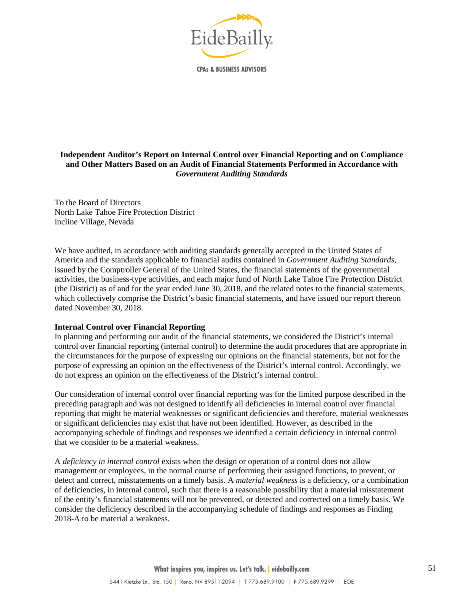

**CPAs & BUSINESS ADVISORS** 

#### **Independent Auditor's Report on Internal Control over Financial Reporting and on Compliance and Other Matters Based on an Audit of Financial Statements Performed in Accordance with** *Government Auditing Standards*

To the Board of Directors North Lake Tahoe Fire Protection District Incline Village, Nevada

We have audited, in accordance with auditing standards generally accepted in the United States of America and the standards applicable to financial audits contained in *Government Auditing Standards*, issued by the Comptroller General of the United States, the financial statements of the governmental activities, the business-type activities, and each major fund of North Lake Tahoe Fire Protection District (the District) as of and for the year ended June 30, 2018, and the related notes to the financial statements, which collectively comprise the District's basic financial statements, and have issued our report thereon dated November 30, 2018.

#### **Internal Control over Financial Reporting**

In planning and performing our audit of the financial statements, we considered the District's internal control over financial reporting (internal control) to determine the audit procedures that are appropriate in the circumstances for the purpose of expressing our opinions on the financial statements, but not for the purpose of expressing an opinion on the effectiveness of the District's internal control. Accordingly, we do not express an opinion on the effectiveness of the District's internal control.

Our consideration of internal control over financial reporting was for the limited purpose described in the preceding paragraph and was not designed to identify all deficiencies in internal control over financial reporting that might be material weaknesses or significant deficiencies and therefore, material weaknesses or significant deficiencies may exist that have not been identified. However, as described in the accompanying schedule of findings and responses we identified a certain deficiency in internal control that we consider to be a material weakness.

A *deficiency in internal control* exists when the design or operation of a control does not allow management or employees, in the normal course of performing their assigned functions, to prevent, or detect and correct, misstatements on a timely basis. A *material weakness* is a deficiency, or a combination of deficiencies, in internal control, such that there is a reasonable possibility that a material misstatement of the entity's financial statements will not be prevented, or detected and corrected on a timely basis. We consider the deficiency described in the accompanying schedule of findings and responses as Finding 2018-A to be material a weakness.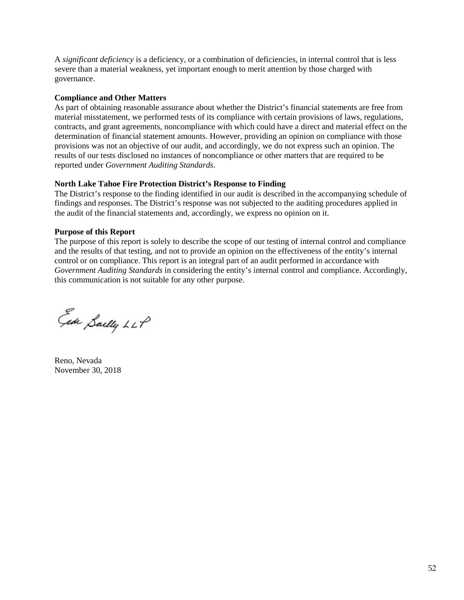A *significant deficiency* is a deficiency, or a combination of deficiencies, in internal control that is less severe than a material weakness, yet important enough to merit attention by those charged with governance.

#### **Compliance and Other Matters**

As part of obtaining reasonable assurance about whether the District's financial statements are free from material misstatement, we performed tests of its compliance with certain provisions of laws, regulations, contracts, and grant agreements, noncompliance with which could have a direct and material effect on the determination of financial statement amounts. However, providing an opinion on compliance with those provisions was not an objective of our audit, and accordingly, we do not express such an opinion. The results of our tests disclosed no instances of noncompliance or other matters that are required to be reported under *Government Auditing Standards*.

#### **North Lake Tahoe Fire Protection District's Response to Finding**

The District's response to the finding identified in our audit is described in the accompanying schedule of findings and responses. The District's response was not subjected to the auditing procedures applied in the audit of the financial statements and, accordingly, we express no opinion on it.

#### **Purpose of this Report**

The purpose of this report is solely to describe the scope of our testing of internal control and compliance and the results of that testing, and not to provide an opinion on the effectiveness of the entity's internal control or on compliance. This report is an integral part of an audit performed in accordance with *Government Auditing Standards* in considering the entity's internal control and compliance. Accordingly, this communication is not suitable for any other purpose.

Ede Sailly LLP

Reno, Nevada November 30, 2018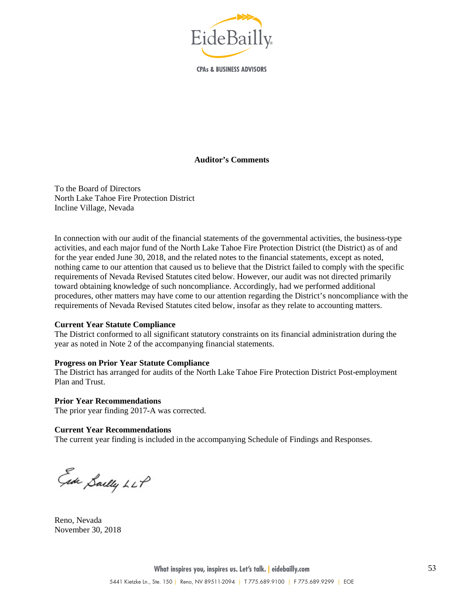

**CPAs & BUSINESS ADVISORS** 

#### **Auditor's Comments**

To the Board of Directors North Lake Tahoe Fire Protection District Incline Village, Nevada

In connection with our audit of the financial statements of the governmental activities, the business-type activities, and each major fund of the North Lake Tahoe Fire Protection District (the District) as of and for the year ended June 30, 2018, and the related notes to the financial statements, except as noted, nothing came to our attention that caused us to believe that the District failed to comply with the specific requirements of Nevada Revised Statutes cited below. However, our audit was not directed primarily toward obtaining knowledge of such noncompliance. Accordingly, had we performed additional procedures, other matters may have come to our attention regarding the District's noncompliance with the requirements of Nevada Revised Statutes cited below, insofar as they relate to accounting matters.

#### **Current Year Statute Compliance**

The District conformed to all significant statutory constraints on its financial administration during the year as noted in Note 2 of the accompanying financial statements.

#### **Progress on Prior Year Statute Compliance**

The District has arranged for audits of the North Lake Tahoe Fire Protection District Post-employment Plan and Trust.

**Prior Year Recommendations** The prior year finding 2017-A was corrected.

#### **Current Year Recommendations**

The current year finding is included in the accompanying Schedule of Findings and Responses.

Ede Sailly LLP

Reno, Nevada November 30, 2018